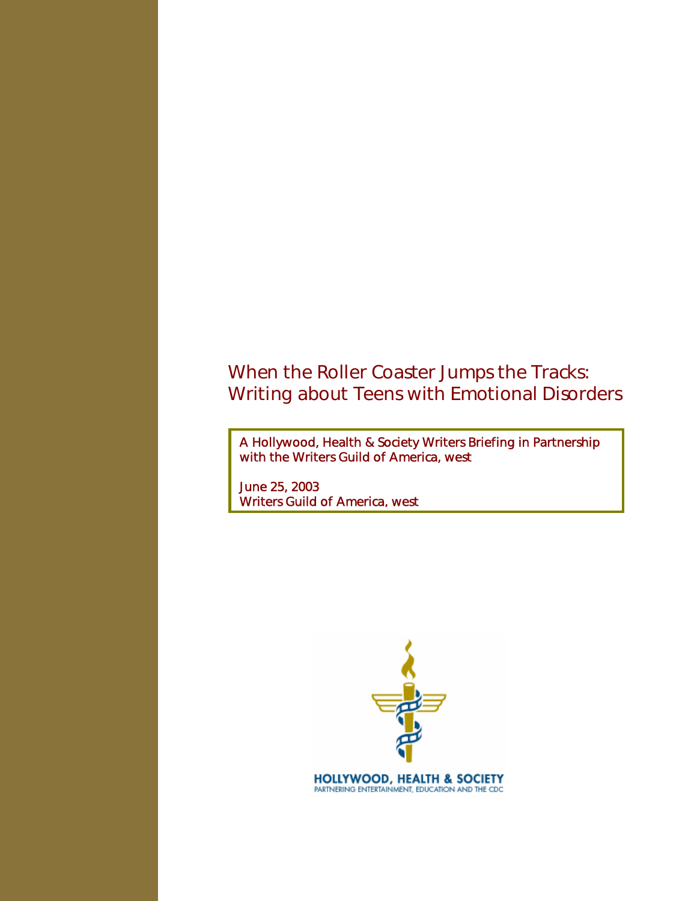# When the Roller Coaster Jumps the Tracks: Writing about Teens with Emotional Disorders

A Hollywood, Health & Society Writers Briefing in Partnership with the Writers Guild of America, west

June 25, 2003 Writers Guild of America, west

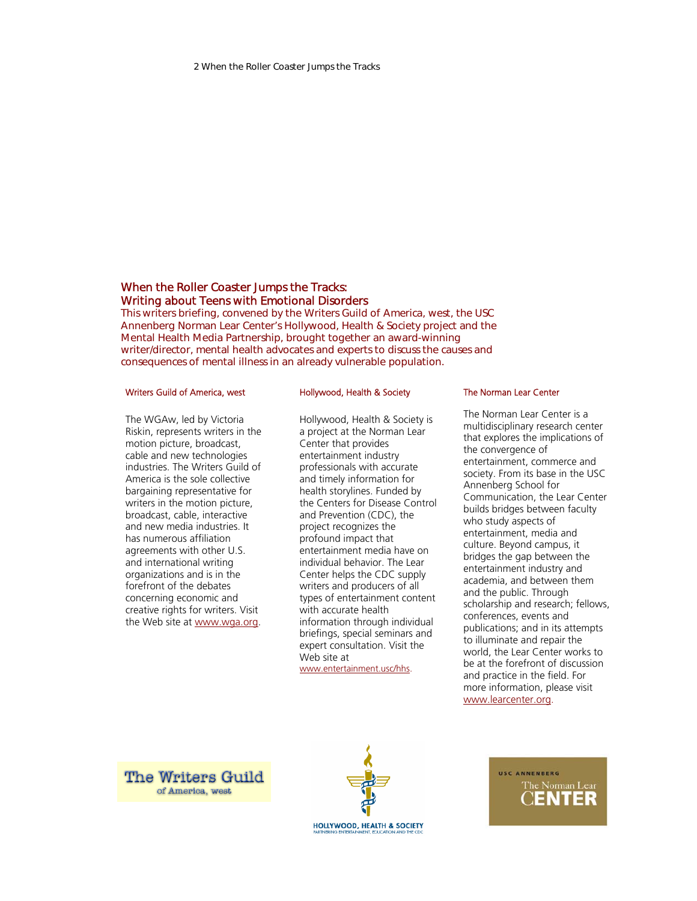# When the Roller Coaster Jumps the Tracks: Writing about Teens with Emotional Disorders

This writers briefing, convened by the Writers Guild of America, west, the USC Annenberg Norman Lear Center's Hollywood, Health & Society project and the Mental Health Media Partnership, brought together an award-winning writer/director, mental health advocates and experts to discuss the causes and consequences of mental illness in an already vulnerable population.

#### Writers Guild of America, west

## The WGAw, led by Victoria Riskin, represents writers in the motion picture, broadcast, cable and new technologies industries. The Writers Guild of America is the sole collective bargaining representative for writers in the motion picture, broadcast, cable, interactive and new media industries. It has numerous affiliation agreements with other U.S. and international writing organizations and is in the forefront of the debates concerning economic and creative rights for writers. Visit the Web site at www.wga.org.

#### Hollywood, Health & Society

Hollywood, Health & Society is a project at the Norman Lear Center that provides entertainment industry professionals with accurate and timely information for health storylines. Funded by the Centers for Disease Control and Prevention (CDC), the project recognizes the profound impact that entertainment media have on individual behavior. The Lear Center helps the CDC supply writers and producers of all types of entertainment content with accurate health information through individual briefings, special seminars and expert consultation. Visit the Web site at www.entertainment.usc/hhs.

#### The Norman Lear Center

The Norman Lear Center is a multidisciplinary research center that explores the implications of the convergence of entertainment, commerce and society. From its base in the USC Annenberg School for Communication, the Lear Center builds bridges between faculty who study aspects of entertainment, media and culture. Beyond campus, it bridges the gap between the entertainment industry and academia, and between them and the public. Through scholarship and research; fellows, conferences, events and publications; and in its attempts to illuminate and repair the world, the Lear Center works to be at the forefront of discussion and practice in the field. For more information, please visit www.learcenter.org.

**The Writers Guild** of America, west



USC ANNENBERG The Norman Lear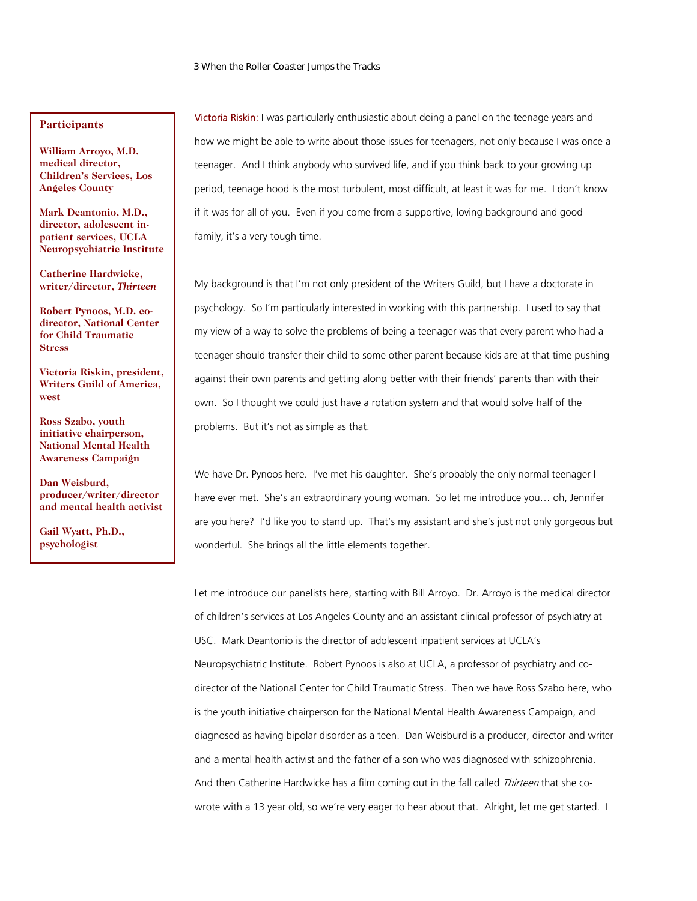# **Participants**

**William Arroyo, M.D. medical director, Children's Services, Los Angeles County** 

**Mark Deantonio, M.D., director, adolescent inpatient services, UCLA Neuropsychiatric Institute** 

**Catherine Hardwicke, writer/director,** *Thirteen*

**Robert Pynoos, M.D. codirector, National Center for Child Traumatic Stress** 

**Victoria Riskin, president, Writers Guild of America, west** 

**Ross Szabo, youth initiative chairperson, National Mental Health Awareness Campaign** 

**Dan Weisburd, producer/writer/director and mental health activist** 

**Gail Wyatt, Ph.D., psychologist** 

Victoria Riskin: I was particularly enthusiastic about doing a panel on the teenage years and how we might be able to write about those issues for teenagers, not only because I was once a teenager. And I think anybody who survived life, and if you think back to your growing up period, teenage hood is the most turbulent, most difficult, at least it was for me. I don't know if it was for all of you. Even if you come from a supportive, loving background and good family, it's a very tough time.

My background is that I'm not only president of the Writers Guild, but I have a doctorate in psychology. So I'm particularly interested in working with this partnership. I used to say that my view of a way to solve the problems of being a teenager was that every parent who had a teenager should transfer their child to some other parent because kids are at that time pushing against their own parents and getting along better with their friends' parents than with their own. So I thought we could just have a rotation system and that would solve half of the problems. But it's not as simple as that.

We have Dr. Pynoos here. I've met his daughter. She's probably the only normal teenager I have ever met. She's an extraordinary young woman. So let me introduce you… oh, Jennifer are you here? I'd like you to stand up. That's my assistant and she's just not only gorgeous but wonderful. She brings all the little elements together.

Let me introduce our panelists here, starting with Bill Arroyo. Dr. Arroyo is the medical director of children's services at Los Angeles County and an assistant clinical professor of psychiatry at USC. Mark Deantonio is the director of adolescent inpatient services at UCLA's Neuropsychiatric Institute. Robert Pynoos is also at UCLA, a professor of psychiatry and codirector of the National Center for Child Traumatic Stress. Then we have Ross Szabo here, who is the youth initiative chairperson for the National Mental Health Awareness Campaign, and diagnosed as having bipolar disorder as a teen. Dan Weisburd is a producer, director and writer and a mental health activist and the father of a son who was diagnosed with schizophrenia. And then Catherine Hardwicke has a film coming out in the fall called Thirteen that she cowrote with a 13 year old, so we're very eager to hear about that. Alright, let me get started. I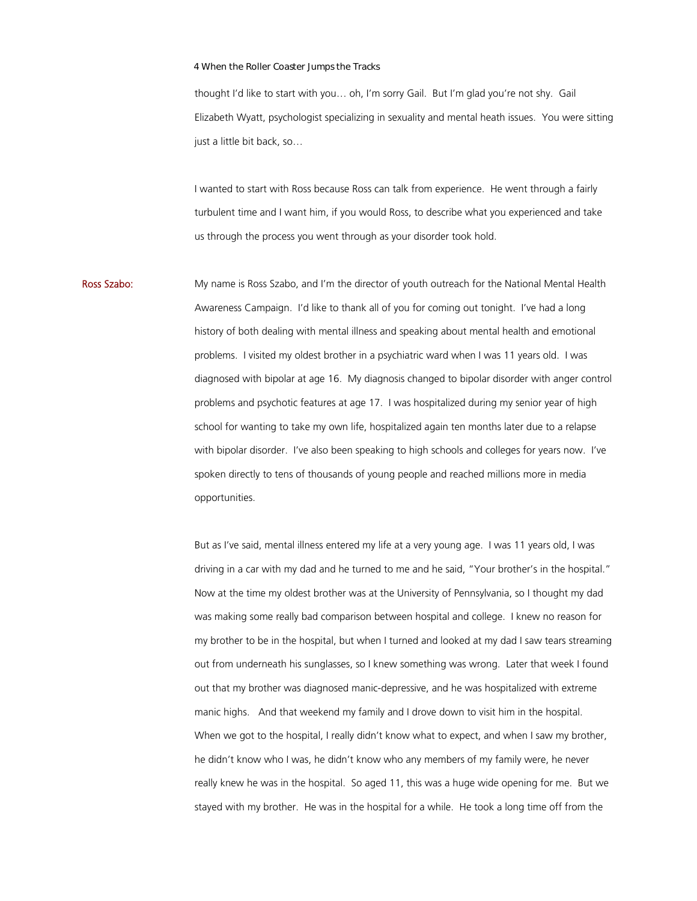thought I'd like to start with you… oh, I'm sorry Gail. But I'm glad you're not shy. Gail Elizabeth Wyatt, psychologist specializing in sexuality and mental heath issues. You were sitting just a little bit back, so…

I wanted to start with Ross because Ross can talk from experience. He went through a fairly turbulent time and I want him, if you would Ross, to describe what you experienced and take us through the process you went through as your disorder took hold.

Ross Szabo: My name is Ross Szabo, and I'm the director of youth outreach for the National Mental Health Awareness Campaign. I'd like to thank all of you for coming out tonight. I've had a long history of both dealing with mental illness and speaking about mental health and emotional problems. I visited my oldest brother in a psychiatric ward when I was 11 years old. I was diagnosed with bipolar at age 16. My diagnosis changed to bipolar disorder with anger control problems and psychotic features at age 17. I was hospitalized during my senior year of high school for wanting to take my own life, hospitalized again ten months later due to a relapse with bipolar disorder. I've also been speaking to high schools and colleges for years now. I've spoken directly to tens of thousands of young people and reached millions more in media opportunities.

> But as I've said, mental illness entered my life at a very young age. I was 11 years old, I was driving in a car with my dad and he turned to me and he said, "Your brother's in the hospital." Now at the time my oldest brother was at the University of Pennsylvania, so I thought my dad was making some really bad comparison between hospital and college. I knew no reason for my brother to be in the hospital, but when I turned and looked at my dad I saw tears streaming out from underneath his sunglasses, so I knew something was wrong. Later that week I found out that my brother was diagnosed manic-depressive, and he was hospitalized with extreme manic highs. And that weekend my family and I drove down to visit him in the hospital. When we got to the hospital, I really didn't know what to expect, and when I saw my brother, he didn't know who I was, he didn't know who any members of my family were, he never really knew he was in the hospital. So aged 11, this was a huge wide opening for me. But we stayed with my brother. He was in the hospital for a while. He took a long time off from the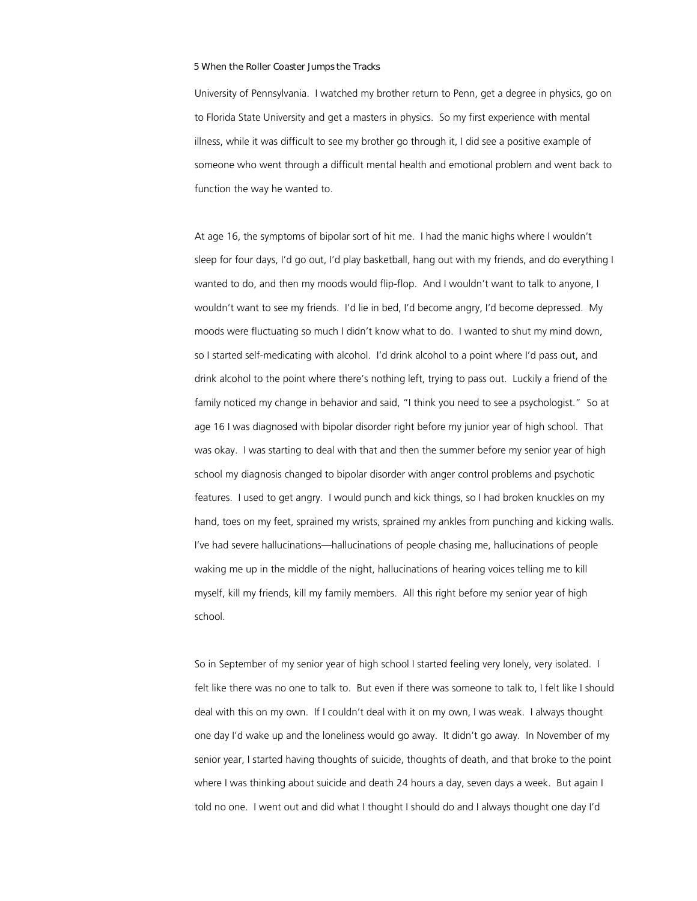University of Pennsylvania. I watched my brother return to Penn, get a degree in physics, go on to Florida State University and get a masters in physics. So my first experience with mental illness, while it was difficult to see my brother go through it, I did see a positive example of someone who went through a difficult mental health and emotional problem and went back to function the way he wanted to.

At age 16, the symptoms of bipolar sort of hit me. I had the manic highs where I wouldn't sleep for four days, I'd go out, I'd play basketball, hang out with my friends, and do everything I wanted to do, and then my moods would flip-flop. And I wouldn't want to talk to anyone, I wouldn't want to see my friends. I'd lie in bed, I'd become angry, I'd become depressed. My moods were fluctuating so much I didn't know what to do. I wanted to shut my mind down, so I started self-medicating with alcohol. I'd drink alcohol to a point where I'd pass out, and drink alcohol to the point where there's nothing left, trying to pass out. Luckily a friend of the family noticed my change in behavior and said, "I think you need to see a psychologist." So at age 16 I was diagnosed with bipolar disorder right before my junior year of high school. That was okay. I was starting to deal with that and then the summer before my senior year of high school my diagnosis changed to bipolar disorder with anger control problems and psychotic features. I used to get angry. I would punch and kick things, so I had broken knuckles on my hand, toes on my feet, sprained my wrists, sprained my ankles from punching and kicking walls. I've had severe hallucinations—hallucinations of people chasing me, hallucinations of people waking me up in the middle of the night, hallucinations of hearing voices telling me to kill myself, kill my friends, kill my family members. All this right before my senior year of high school.

So in September of my senior year of high school I started feeling very lonely, very isolated. I felt like there was no one to talk to. But even if there was someone to talk to, I felt like I should deal with this on my own. If I couldn't deal with it on my own, I was weak. I always thought one day I'd wake up and the loneliness would go away. It didn't go away. In November of my senior year, I started having thoughts of suicide, thoughts of death, and that broke to the point where I was thinking about suicide and death 24 hours a day, seven days a week. But again I told no one. I went out and did what I thought I should do and I always thought one day I'd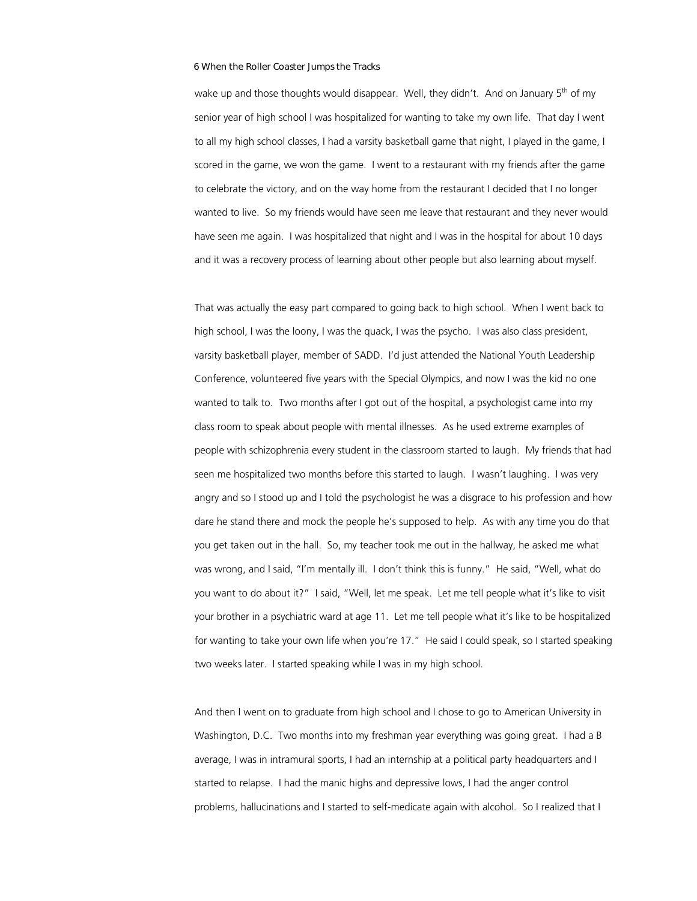wake up and those thoughts would disappear. Well, they didn't. And on January  $5<sup>th</sup>$  of my senior year of high school I was hospitalized for wanting to take my own life. That day I went to all my high school classes, I had a varsity basketball game that night, I played in the game, I scored in the game, we won the game. I went to a restaurant with my friends after the game to celebrate the victory, and on the way home from the restaurant I decided that I no longer wanted to live. So my friends would have seen me leave that restaurant and they never would have seen me again. I was hospitalized that night and I was in the hospital for about 10 days and it was a recovery process of learning about other people but also learning about myself.

That was actually the easy part compared to going back to high school. When I went back to high school, I was the loony, I was the quack, I was the psycho. I was also class president, varsity basketball player, member of SADD. I'd just attended the National Youth Leadership Conference, volunteered five years with the Special Olympics, and now I was the kid no one wanted to talk to. Two months after I got out of the hospital, a psychologist came into my class room to speak about people with mental illnesses. As he used extreme examples of people with schizophrenia every student in the classroom started to laugh. My friends that had seen me hospitalized two months before this started to laugh. I wasn't laughing. I was very angry and so I stood up and I told the psychologist he was a disgrace to his profession and how dare he stand there and mock the people he's supposed to help. As with any time you do that you get taken out in the hall. So, my teacher took me out in the hallway, he asked me what was wrong, and I said, "I'm mentally ill. I don't think this is funny." He said, "Well, what do you want to do about it?" I said, "Well, let me speak. Let me tell people what it's like to visit your brother in a psychiatric ward at age 11. Let me tell people what it's like to be hospitalized for wanting to take your own life when you're 17." He said I could speak, so I started speaking two weeks later. I started speaking while I was in my high school.

And then I went on to graduate from high school and I chose to go to American University in Washington, D.C. Two months into my freshman year everything was going great. I had a B average, I was in intramural sports, I had an internship at a political party headquarters and I started to relapse. I had the manic highs and depressive lows, I had the anger control problems, hallucinations and I started to self-medicate again with alcohol. So I realized that I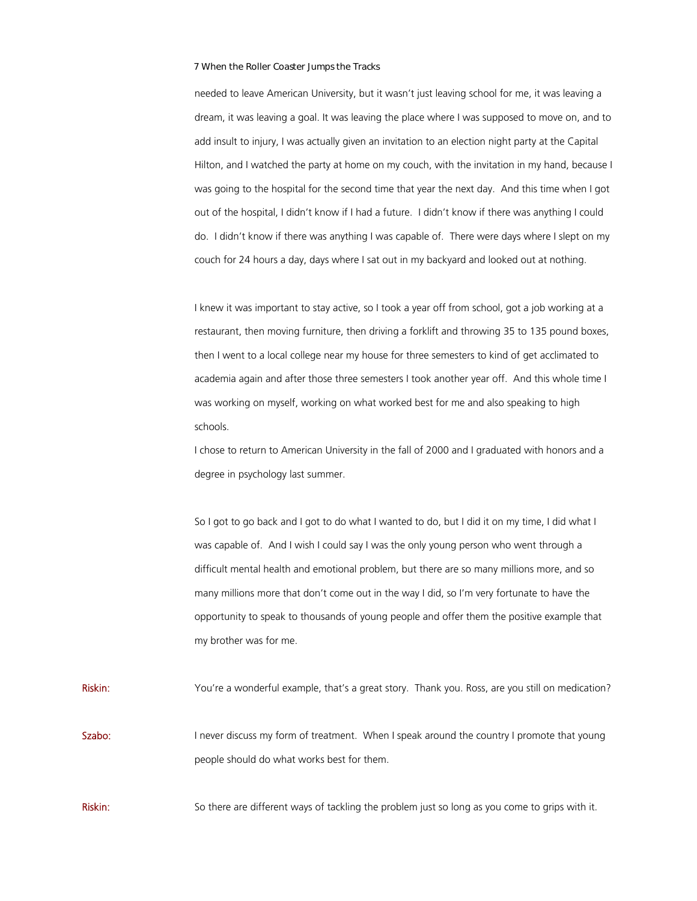needed to leave American University, but it wasn't just leaving school for me, it was leaving a dream, it was leaving a goal. It was leaving the place where I was supposed to move on, and to add insult to injury, I was actually given an invitation to an election night party at the Capital Hilton, and I watched the party at home on my couch, with the invitation in my hand, because I was going to the hospital for the second time that year the next day. And this time when I got out of the hospital, I didn't know if I had a future. I didn't know if there was anything I could do. I didn't know if there was anything I was capable of. There were days where I slept on my couch for 24 hours a day, days where I sat out in my backyard and looked out at nothing.

I knew it was important to stay active, so I took a year off from school, got a job working at a restaurant, then moving furniture, then driving a forklift and throwing 35 to 135 pound boxes, then I went to a local college near my house for three semesters to kind of get acclimated to academia again and after those three semesters I took another year off. And this whole time I was working on myself, working on what worked best for me and also speaking to high schools.

I chose to return to American University in the fall of 2000 and I graduated with honors and a degree in psychology last summer.

So I got to go back and I got to do what I wanted to do, but I did it on my time, I did what I was capable of. And I wish I could say I was the only young person who went through a difficult mental health and emotional problem, but there are so many millions more, and so many millions more that don't come out in the way I did, so I'm very fortunate to have the opportunity to speak to thousands of young people and offer them the positive example that my brother was for me.

Riskin: You're a wonderful example, that's a great story. Thank you. Ross, are you still on medication?

Szabo: I never discuss my form of treatment. When I speak around the country I promote that young people should do what works best for them.

Riskin: So there are different ways of tackling the problem just so long as you come to grips with it.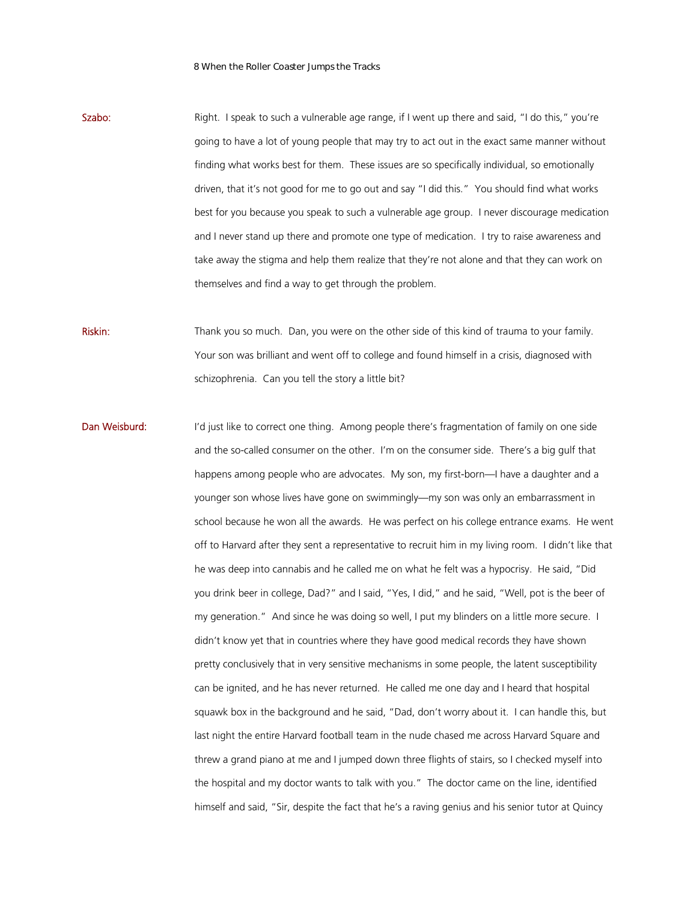Szabo: Right. I speak to such a vulnerable age range, if I went up there and said, "I do this," you're going to have a lot of young people that may try to act out in the exact same manner without finding what works best for them. These issues are so specifically individual, so emotionally driven, that it's not good for me to go out and say "I did this." You should find what works best for you because you speak to such a vulnerable age group. I never discourage medication and I never stand up there and promote one type of medication. I try to raise awareness and take away the stigma and help them realize that they're not alone and that they can work on themselves and find a way to get through the problem.

Riskin: Thank you so much. Dan, you were on the other side of this kind of trauma to your family. Your son was brilliant and went off to college and found himself in a crisis, diagnosed with schizophrenia. Can you tell the story a little bit?

Dan Weisburd: I'd just like to correct one thing. Among people there's fragmentation of family on one side and the so-called consumer on the other. I'm on the consumer side. There's a big gulf that happens among people who are advocates. My son, my first-born—I have a daughter and a younger son whose lives have gone on swimmingly—my son was only an embarrassment in school because he won all the awards. He was perfect on his college entrance exams. He went off to Harvard after they sent a representative to recruit him in my living room. I didn't like that he was deep into cannabis and he called me on what he felt was a hypocrisy. He said, "Did you drink beer in college, Dad?" and I said, "Yes, I did," and he said, "Well, pot is the beer of my generation." And since he was doing so well, I put my blinders on a little more secure. I didn't know yet that in countries where they have good medical records they have shown pretty conclusively that in very sensitive mechanisms in some people, the latent susceptibility can be ignited, and he has never returned. He called me one day and I heard that hospital squawk box in the background and he said, "Dad, don't worry about it. I can handle this, but last night the entire Harvard football team in the nude chased me across Harvard Square and threw a grand piano at me and I jumped down three flights of stairs, so I checked myself into the hospital and my doctor wants to talk with you." The doctor came on the line, identified himself and said, "Sir, despite the fact that he's a raving genius and his senior tutor at Quincy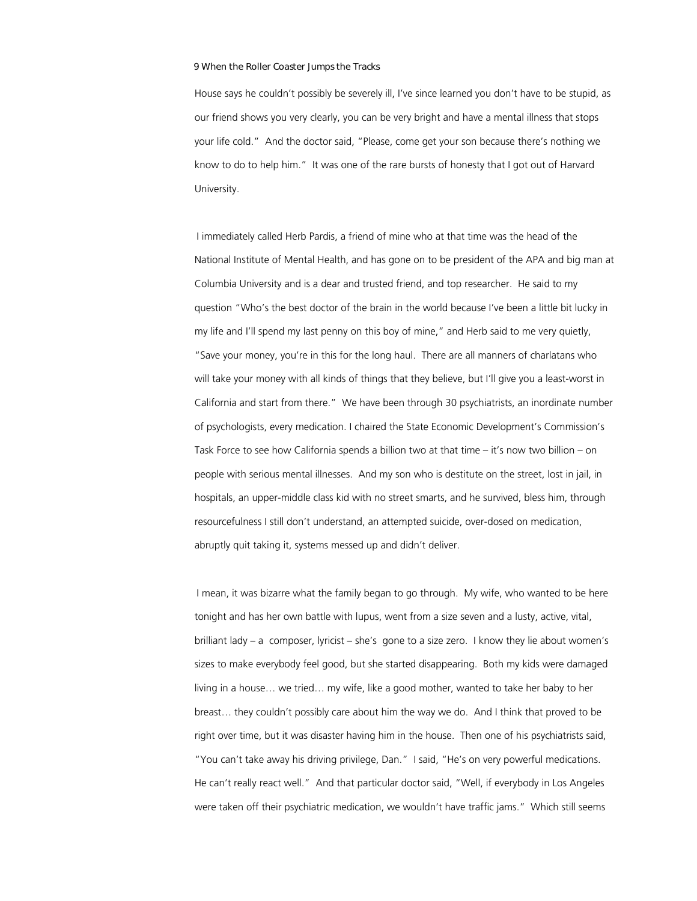House says he couldn't possibly be severely ill, I've since learned you don't have to be stupid, as our friend shows you very clearly, you can be very bright and have a mental illness that stops your life cold." And the doctor said, "Please, come get your son because there's nothing we know to do to help him." It was one of the rare bursts of honesty that I got out of Harvard University.

I immediately called Herb Pardis, a friend of mine who at that time was the head of the National Institute of Mental Health, and has gone on to be president of the APA and big man at Columbia University and is a dear and trusted friend, and top researcher. He said to my question "Who's the best doctor of the brain in the world because I've been a little bit lucky in my life and I'll spend my last penny on this boy of mine," and Herb said to me very quietly, "Save your money, you're in this for the long haul. There are all manners of charlatans who will take your money with all kinds of things that they believe, but I'll give you a least-worst in California and start from there." We have been through 30 psychiatrists, an inordinate number of psychologists, every medication. I chaired the State Economic Development's Commission's Task Force to see how California spends a billion two at that time – it's now two billion – on people with serious mental illnesses. And my son who is destitute on the street, lost in jail, in hospitals, an upper-middle class kid with no street smarts, and he survived, bless him, through resourcefulness I still don't understand, an attempted suicide, over-dosed on medication, abruptly quit taking it, systems messed up and didn't deliver.

I mean, it was bizarre what the family began to go through. My wife, who wanted to be here tonight and has her own battle with lupus, went from a size seven and a lusty, active, vital, brilliant lady – a composer, lyricist – she's gone to a size zero. I know they lie about women's sizes to make everybody feel good, but she started disappearing. Both my kids were damaged living in a house… we tried… my wife, like a good mother, wanted to take her baby to her breast… they couldn't possibly care about him the way we do. And I think that proved to be right over time, but it was disaster having him in the house. Then one of his psychiatrists said, "You can't take away his driving privilege, Dan." I said, "He's on very powerful medications. He can't really react well." And that particular doctor said, "Well, if everybody in Los Angeles were taken off their psychiatric medication, we wouldn't have traffic jams." Which still seems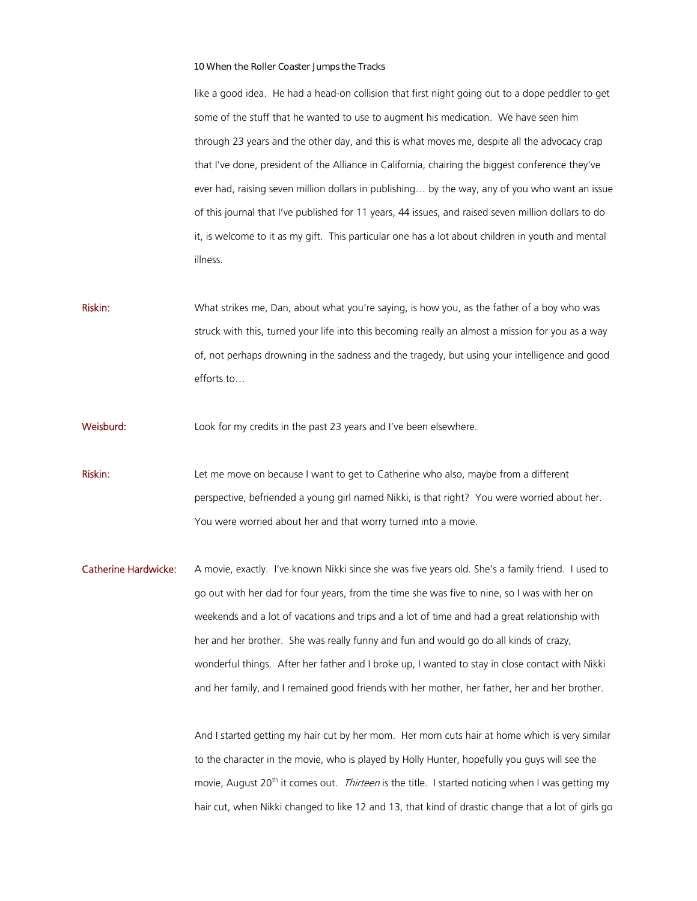like a good idea. He had a head-on collision that first night going out to a dope peddler to get some of the stuff that he wanted to use to augment his medication. We have seen him through 23 years and the other day, and this is what moves me, despite all the advocacy crap that I've done, president of the Alliance in California, chairing the biggest conference they've ever had, raising seven million dollars in publishing… by the way, any of you who want an issue of this journal that I've published for 11 years, 44 issues, and raised seven million dollars to do it, is welcome to it as my gift. This particular one has a lot about children in youth and mental illness.

Riskin: What strikes me, Dan, about what you're saying, is how you, as the father of a boy who was struck with this, turned your life into this becoming really an almost a mission for you as a way of, not perhaps drowning in the sadness and the tragedy, but using your intelligence and good efforts to…

Weisburd: Look for my credits in the past 23 years and I've been elsewhere.

- Riskin: Let me move on because I want to get to Catherine who also, maybe from a different perspective, befriended a young girl named Nikki, is that right? You were worried about her. You were worried about her and that worry turned into a movie.
- Catherine Hardwicke: A movie, exactly. I've known Nikki since she was five years old. She's a family friend. I used to go out with her dad for four years, from the time she was five to nine, so I was with her on weekends and a lot of vacations and trips and a lot of time and had a great relationship with her and her brother. She was really funny and fun and would go do all kinds of crazy, wonderful things. After her father and I broke up, I wanted to stay in close contact with Nikki and her family, and I remained good friends with her mother, her father, her and her brother.

And I started getting my hair cut by her mom. Her mom cuts hair at home which is very similar to the character in the movie, who is played by Holly Hunter, hopefully you guys will see the movie, August 20<sup>th</sup> it comes out. Thirteen is the title. I started noticing when I was getting my hair cut, when Nikki changed to like 12 and 13, that kind of drastic change that a lot of girls go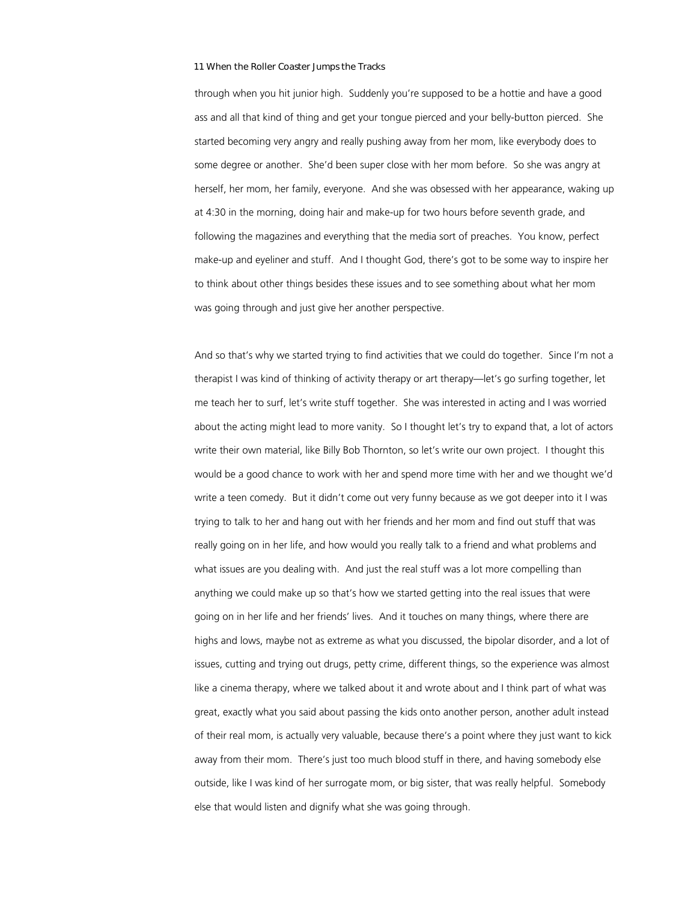through when you hit junior high. Suddenly you're supposed to be a hottie and have a good ass and all that kind of thing and get your tongue pierced and your belly-button pierced. She started becoming very angry and really pushing away from her mom, like everybody does to some degree or another. She'd been super close with her mom before. So she was angry at herself, her mom, her family, everyone. And she was obsessed with her appearance, waking up at 4:30 in the morning, doing hair and make-up for two hours before seventh grade, and following the magazines and everything that the media sort of preaches. You know, perfect make-up and eyeliner and stuff. And I thought God, there's got to be some way to inspire her to think about other things besides these issues and to see something about what her mom was going through and just give her another perspective.

And so that's why we started trying to find activities that we could do together. Since I'm not a therapist I was kind of thinking of activity therapy or art therapy—let's go surfing together, let me teach her to surf, let's write stuff together. She was interested in acting and I was worried about the acting might lead to more vanity. So I thought let's try to expand that, a lot of actors write their own material, like Billy Bob Thornton, so let's write our own project. I thought this would be a good chance to work with her and spend more time with her and we thought we'd write a teen comedy. But it didn't come out very funny because as we got deeper into it I was trying to talk to her and hang out with her friends and her mom and find out stuff that was really going on in her life, and how would you really talk to a friend and what problems and what issues are you dealing with. And just the real stuff was a lot more compelling than anything we could make up so that's how we started getting into the real issues that were going on in her life and her friends' lives. And it touches on many things, where there are highs and lows, maybe not as extreme as what you discussed, the bipolar disorder, and a lot of issues, cutting and trying out drugs, petty crime, different things, so the experience was almost like a cinema therapy, where we talked about it and wrote about and I think part of what was great, exactly what you said about passing the kids onto another person, another adult instead of their real mom, is actually very valuable, because there's a point where they just want to kick away from their mom. There's just too much blood stuff in there, and having somebody else outside, like I was kind of her surrogate mom, or big sister, that was really helpful. Somebody else that would listen and dignify what she was going through.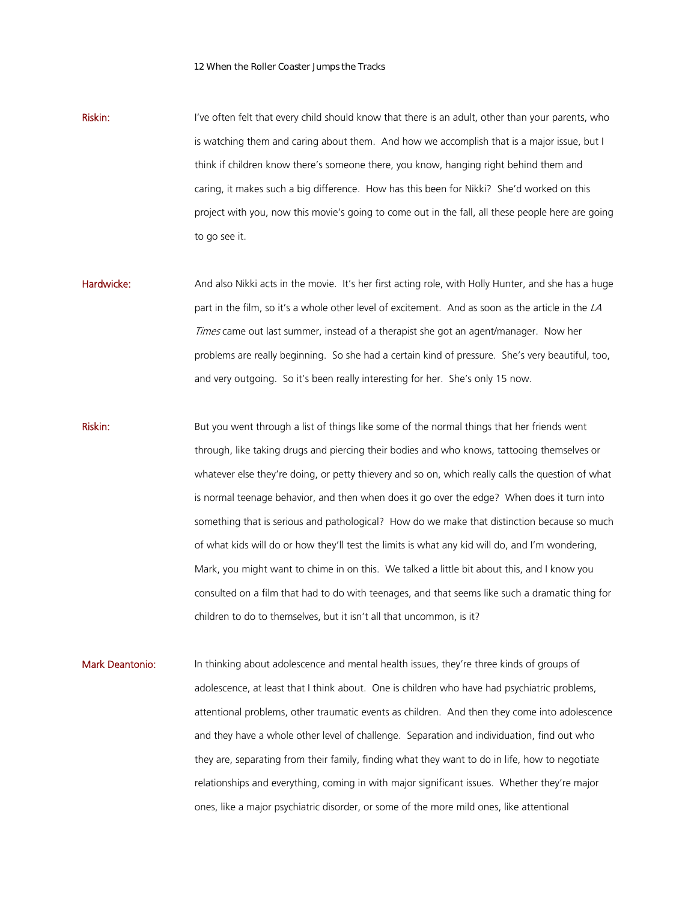Riskin: I've often felt that every child should know that there is an adult, other than your parents, who is watching them and caring about them. And how we accomplish that is a major issue, but I think if children know there's someone there, you know, hanging right behind them and caring, it makes such a big difference. How has this been for Nikki? She'd worked on this project with you, now this movie's going to come out in the fall, all these people here are going to go see it.

- Hardwicke: And also Nikki acts in the movie. It's her first acting role, with Holly Hunter, and she has a huge part in the film, so it's a whole other level of excitement. And as soon as the article in the  $LA$ Times came out last summer, instead of a therapist she got an agent/manager. Now her problems are really beginning. So she had a certain kind of pressure. She's very beautiful, too, and very outgoing. So it's been really interesting for her. She's only 15 now.
- Riskin: But you went through a list of things like some of the normal things that her friends went through, like taking drugs and piercing their bodies and who knows, tattooing themselves or whatever else they're doing, or petty thievery and so on, which really calls the question of what is normal teenage behavior, and then when does it go over the edge? When does it turn into something that is serious and pathological? How do we make that distinction because so much of what kids will do or how they'll test the limits is what any kid will do, and I'm wondering, Mark, you might want to chime in on this. We talked a little bit about this, and I know you consulted on a film that had to do with teenages, and that seems like such a dramatic thing for children to do to themselves, but it isn't all that uncommon, is it?
- Mark Deantonio: In thinking about adolescence and mental health issues, they're three kinds of groups of adolescence, at least that I think about. One is children who have had psychiatric problems, attentional problems, other traumatic events as children. And then they come into adolescence and they have a whole other level of challenge. Separation and individuation, find out who they are, separating from their family, finding what they want to do in life, how to negotiate relationships and everything, coming in with major significant issues. Whether they're major ones, like a major psychiatric disorder, or some of the more mild ones, like attentional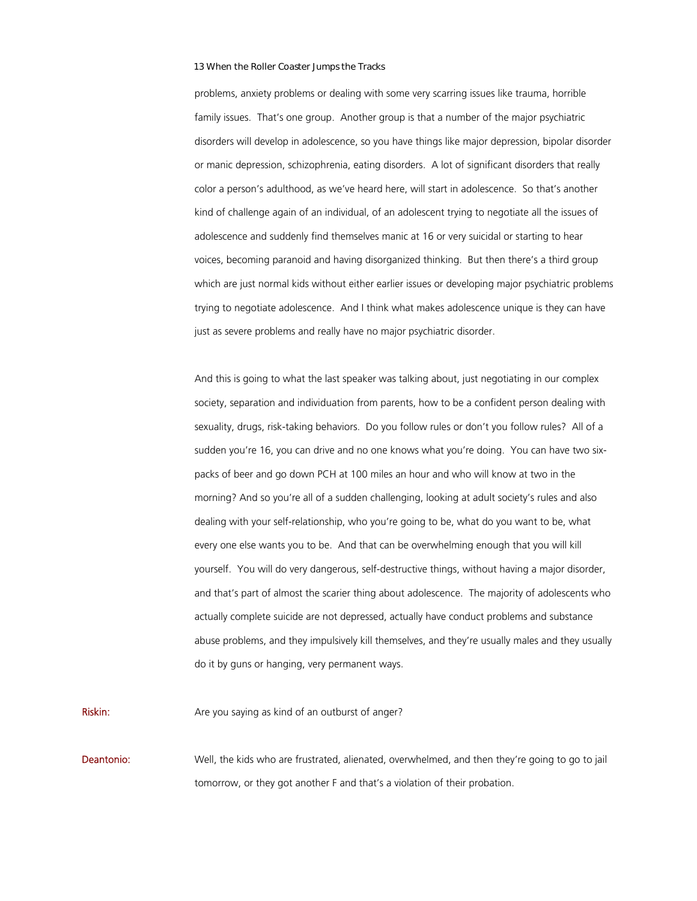problems, anxiety problems or dealing with some very scarring issues like trauma, horrible family issues. That's one group. Another group is that a number of the major psychiatric disorders will develop in adolescence, so you have things like major depression, bipolar disorder or manic depression, schizophrenia, eating disorders. A lot of significant disorders that really color a person's adulthood, as we've heard here, will start in adolescence. So that's another kind of challenge again of an individual, of an adolescent trying to negotiate all the issues of adolescence and suddenly find themselves manic at 16 or very suicidal or starting to hear voices, becoming paranoid and having disorganized thinking. But then there's a third group which are just normal kids without either earlier issues or developing major psychiatric problems trying to negotiate adolescence. And I think what makes adolescence unique is they can have just as severe problems and really have no major psychiatric disorder.

And this is going to what the last speaker was talking about, just negotiating in our complex society, separation and individuation from parents, how to be a confident person dealing with sexuality, drugs, risk-taking behaviors. Do you follow rules or don't you follow rules? All of a sudden you're 16, you can drive and no one knows what you're doing. You can have two sixpacks of beer and go down PCH at 100 miles an hour and who will know at two in the morning? And so you're all of a sudden challenging, looking at adult society's rules and also dealing with your self-relationship, who you're going to be, what do you want to be, what every one else wants you to be. And that can be overwhelming enough that you will kill yourself. You will do very dangerous, self-destructive things, without having a major disorder, and that's part of almost the scarier thing about adolescence. The majority of adolescents who actually complete suicide are not depressed, actually have conduct problems and substance abuse problems, and they impulsively kill themselves, and they're usually males and they usually do it by guns or hanging, very permanent ways.

**Riskin:** Are you saying as kind of an outburst of anger?

**Deantonio:** Well, the kids who are frustrated, alienated, overwhelmed, and then they're going to go to jail tomorrow, or they got another F and that's a violation of their probation.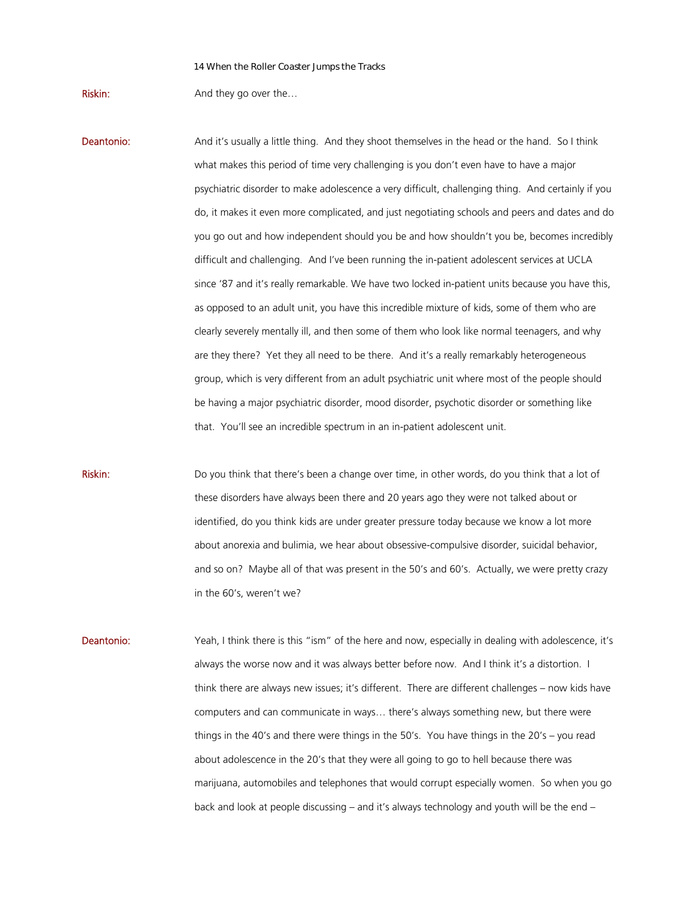Riskin: And they go over the...

- **Deantonio:** And it's usually a little thing. And they shoot themselves in the head or the hand. So I think what makes this period of time very challenging is you don't even have to have a major psychiatric disorder to make adolescence a very difficult, challenging thing. And certainly if you do, it makes it even more complicated, and just negotiating schools and peers and dates and do you go out and how independent should you be and how shouldn't you be, becomes incredibly difficult and challenging. And I've been running the in-patient adolescent services at UCLA since '87 and it's really remarkable. We have two locked in-patient units because you have this, as opposed to an adult unit, you have this incredible mixture of kids, some of them who are clearly severely mentally ill, and then some of them who look like normal teenagers, and why are they there? Yet they all need to be there. And it's a really remarkably heterogeneous group, which is very different from an adult psychiatric unit where most of the people should be having a major psychiatric disorder, mood disorder, psychotic disorder or something like that. You'll see an incredible spectrum in an in-patient adolescent unit.
- Riskin: Do you think that there's been a change over time, in other words, do you think that a lot of these disorders have always been there and 20 years ago they were not talked about or identified, do you think kids are under greater pressure today because we know a lot more about anorexia and bulimia, we hear about obsessive-compulsive disorder, suicidal behavior, and so on? Maybe all of that was present in the 50's and 60's. Actually, we were pretty crazy in the 60's, weren't we?
- Deantonio: Yeah, I think there is this "ism" of the here and now, especially in dealing with adolescence, it's always the worse now and it was always better before now. And I think it's a distortion. I think there are always new issues; it's different. There are different challenges – now kids have computers and can communicate in ways… there's always something new, but there were things in the 40's and there were things in the 50's. You have things in the 20's – you read about adolescence in the 20's that they were all going to go to hell because there was marijuana, automobiles and telephones that would corrupt especially women. So when you go back and look at people discussing – and it's always technology and youth will be the end –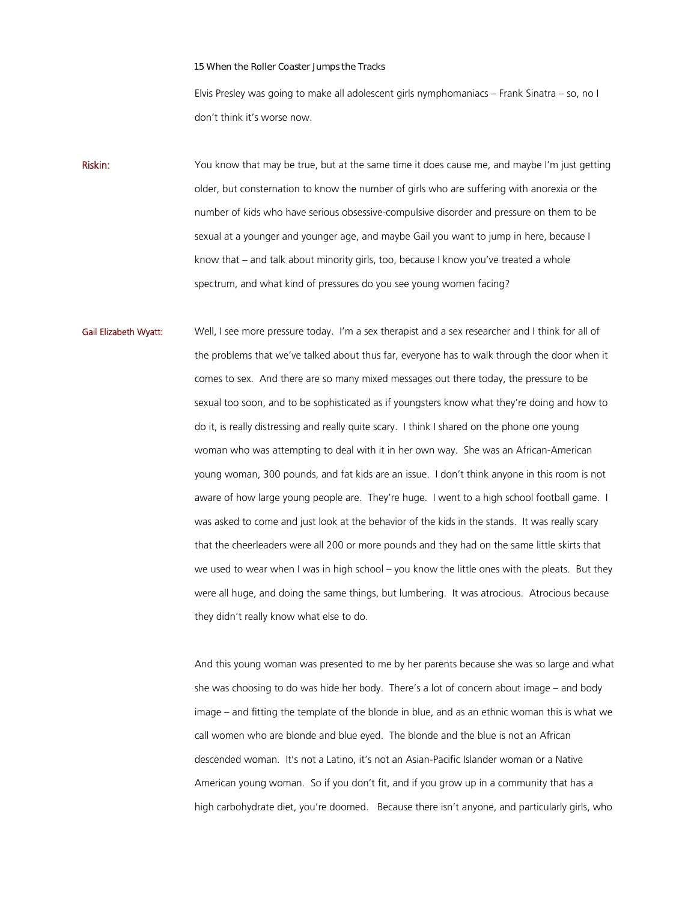Elvis Presley was going to make all adolescent girls nymphomaniacs – Frank Sinatra – so, no I don't think it's worse now.

Riskin: You know that may be true, but at the same time it does cause me, and may be I'm just getting older, but consternation to know the number of girls who are suffering with anorexia or the number of kids who have serious obsessive-compulsive disorder and pressure on them to be sexual at a younger and younger age, and maybe Gail you want to jump in here, because I know that – and talk about minority girls, too, because I know you've treated a whole spectrum, and what kind of pressures do you see young women facing?

Gail Elizabeth Wyatt: Well, I see more pressure today. I'm a sex therapist and a sex researcher and I think for all of the problems that we've talked about thus far, everyone has to walk through the door when it comes to sex. And there are so many mixed messages out there today, the pressure to be sexual too soon, and to be sophisticated as if youngsters know what they're doing and how to do it, is really distressing and really quite scary. I think I shared on the phone one young woman who was attempting to deal with it in her own way. She was an African-American young woman, 300 pounds, and fat kids are an issue. I don't think anyone in this room is not aware of how large young people are. They're huge. I went to a high school football game. I was asked to come and just look at the behavior of the kids in the stands. It was really scary that the cheerleaders were all 200 or more pounds and they had on the same little skirts that we used to wear when I was in high school – you know the little ones with the pleats. But they were all huge, and doing the same things, but lumbering. It was atrocious. Atrocious because they didn't really know what else to do.

> And this young woman was presented to me by her parents because she was so large and what she was choosing to do was hide her body. There's a lot of concern about image – and body image – and fitting the template of the blonde in blue, and as an ethnic woman this is what we call women who are blonde and blue eyed. The blonde and the blue is not an African descended woman. It's not a Latino, it's not an Asian-Pacific Islander woman or a Native American young woman. So if you don't fit, and if you grow up in a community that has a high carbohydrate diet, you're doomed. Because there isn't anyone, and particularly girls, who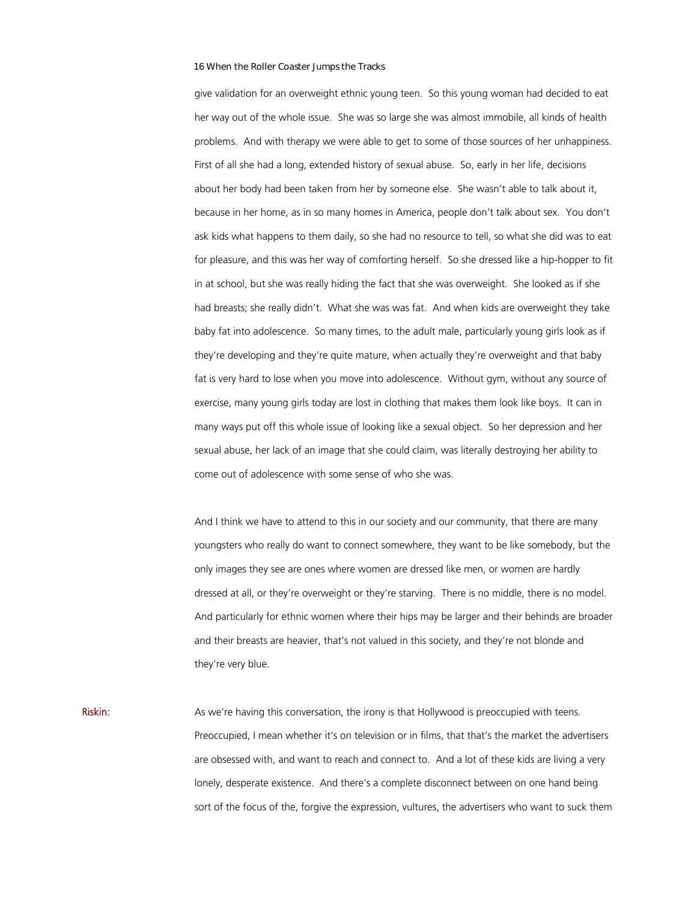give validation for an overweight ethnic young teen. So this young woman had decided to eat her way out of the whole issue. She was so large she was almost immobile, all kinds of health problems. And with therapy we were able to get to some of those sources of her unhappiness. First of all she had a long, extended history of sexual abuse. So, early in her life, decisions about her body had been taken from her by someone else. She wasn't able to talk about it, because in her home, as in so many homes in America, people don't talk about sex. You don't ask kids what happens to them daily, so she had no resource to tell, so what she did was to eat for pleasure, and this was her way of comforting herself. So she dressed like a hip-hopper to fit in at school, but she was really hiding the fact that she was overweight. She looked as if she had breasts; she really didn't. What she was was fat. And when kids are overweight they take baby fat into adolescence. So many times, to the adult male, particularly young girls look as if they're developing and they're quite mature, when actually they're overweight and that baby fat is very hard to lose when you move into adolescence. Without gym, without any source of exercise, many young girls today are lost in clothing that makes them look like boys. It can in many ways put off this whole issue of looking like a sexual object. So her depression and her sexual abuse, her lack of an image that she could claim, was literally destroying her ability to come out of adolescence with some sense of who she was.

And I think we have to attend to this in our society and our community, that there are many youngsters who really do want to connect somewhere, they want to be like somebody, but the only images they see are ones where women are dressed like men, or women are hardly dressed at all, or they're overweight or they're starving. There is no middle, there is no model. And particularly for ethnic women where their hips may be larger and their behinds are broader and their breasts are heavier, that's not valued in this society, and they're not blonde and they're very blue.

Riskin: As we're having this conversation, the irony is that Hollywood is preoccupied with teens. Preoccupied, I mean whether it's on television or in films, that that's the market the advertisers are obsessed with, and want to reach and connect to. And a lot of these kids are living a very lonely, desperate existence. And there's a complete disconnect between on one hand being sort of the focus of the, forgive the expression, vultures, the advertisers who want to suck them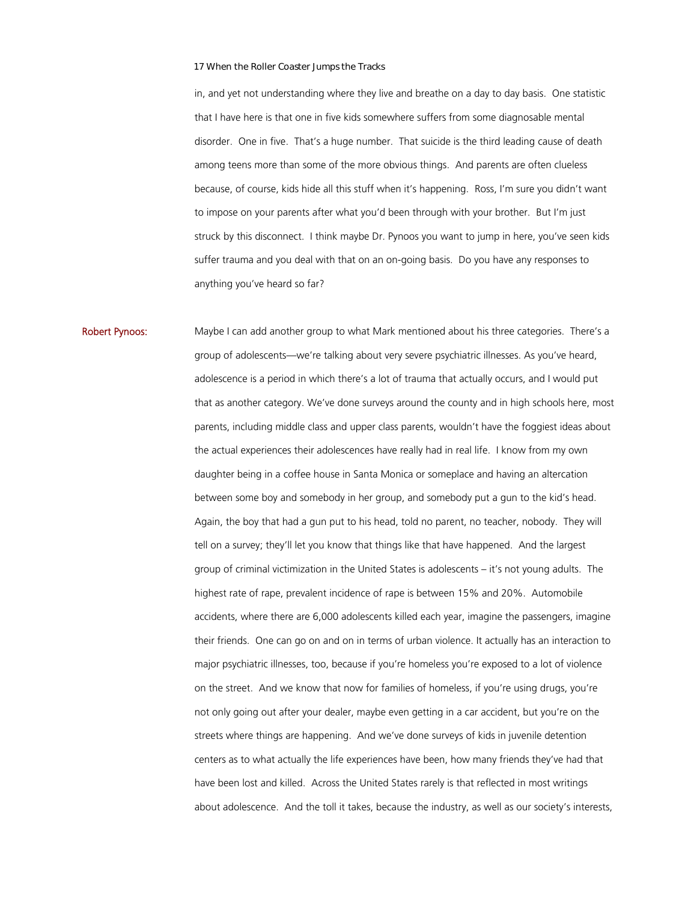in, and yet not understanding where they live and breathe on a day to day basis. One statistic that I have here is that one in five kids somewhere suffers from some diagnosable mental disorder. One in five. That's a huge number. That suicide is the third leading cause of death among teens more than some of the more obvious things. And parents are often clueless because, of course, kids hide all this stuff when it's happening. Ross, I'm sure you didn't want to impose on your parents after what you'd been through with your brother. But I'm just struck by this disconnect. I think maybe Dr. Pynoos you want to jump in here, you've seen kids suffer trauma and you deal with that on an on-going basis. Do you have any responses to anything you've heard so far?

Robert Pynoos: Maybe I can add another group to what Mark mentioned about his three categories. There's a group of adolescents—we're talking about very severe psychiatric illnesses. As you've heard, adolescence is a period in which there's a lot of trauma that actually occurs, and I would put that as another category. We've done surveys around the county and in high schools here, most parents, including middle class and upper class parents, wouldn't have the foggiest ideas about the actual experiences their adolescences have really had in real life. I know from my own daughter being in a coffee house in Santa Monica or someplace and having an altercation between some boy and somebody in her group, and somebody put a gun to the kid's head. Again, the boy that had a gun put to his head, told no parent, no teacher, nobody. They will tell on a survey; they'll let you know that things like that have happened. And the largest group of criminal victimization in the United States is adolescents – it's not young adults. The highest rate of rape, prevalent incidence of rape is between 15% and 20%. Automobile accidents, where there are 6,000 adolescents killed each year, imagine the passengers, imagine their friends. One can go on and on in terms of urban violence. It actually has an interaction to major psychiatric illnesses, too, because if you're homeless you're exposed to a lot of violence on the street. And we know that now for families of homeless, if you're using drugs, you're not only going out after your dealer, maybe even getting in a car accident, but you're on the streets where things are happening. And we've done surveys of kids in juvenile detention centers as to what actually the life experiences have been, how many friends they've had that have been lost and killed. Across the United States rarely is that reflected in most writings about adolescence. And the toll it takes, because the industry, as well as our society's interests,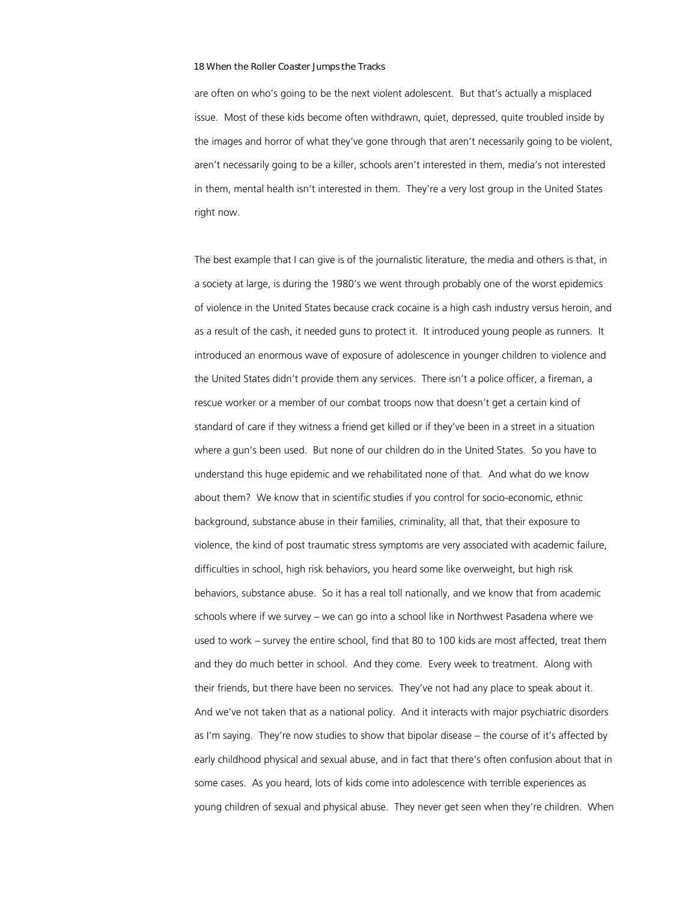are often on who's going to be the next violent adolescent. But that's actually a misplaced issue. Most of these kids become often withdrawn, quiet, depressed, quite troubled inside by the images and horror of what they've gone through that aren't necessarily going to be violent, aren't necessarily going to be a killer, schools aren't interested in them, media's not interested in them, mental health isn't interested in them. They're a very lost group in the United States right now.

The best example that I can give is of the journalistic literature, the media and others is that, in a society at large, is during the 1980's we went through probably one of the worst epidemics of violence in the United States because crack cocaine is a high cash industry versus heroin, and as a result of the cash, it needed guns to protect it. It introduced young people as runners. It introduced an enormous wave of exposure of adolescence in younger children to violence and the United States didn't provide them any services. There isn't a police officer, a fireman, a rescue worker or a member of our combat troops now that doesn't get a certain kind of standard of care if they witness a friend get killed or if they've been in a street in a situation where a gun's been used. But none of our children do in the United States. So you have to understand this huge epidemic and we rehabilitated none of that. And what do we know about them? We know that in scientific studies if you control for socio-economic, ethnic background, substance abuse in their families, criminality, all that, that their exposure to violence, the kind of post traumatic stress symptoms are very associated with academic failure, difficulties in school, high risk behaviors, you heard some like overweight, but high risk behaviors, substance abuse. So it has a real toll nationally, and we know that from academic schools where if we survey – we can go into a school like in Northwest Pasadena where we used to work – survey the entire school, find that 80 to 100 kids are most affected, treat them and they do much better in school. And they come. Every week to treatment. Along with their friends, but there have been no services. They've not had any place to speak about it. And we've not taken that as a national policy. And it interacts with major psychiatric disorders as I'm saying. They're now studies to show that bipolar disease – the course of it's affected by early childhood physical and sexual abuse, and in fact that there's often confusion about that in some cases. As you heard, lots of kids come into adolescence with terrible experiences as young children of sexual and physical abuse. They never get seen when they're children. When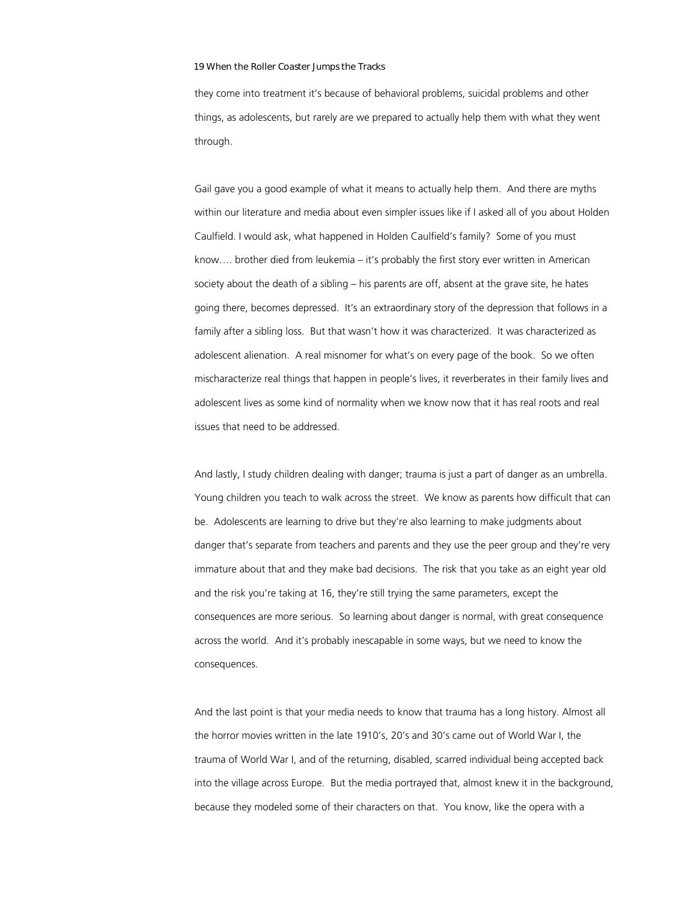they come into treatment it's because of behavioral problems, suicidal problems and other things, as adolescents, but rarely are we prepared to actually help them with what they went through.

Gail gave you a good example of what it means to actually help them. And there are myths within our literature and media about even simpler issues like if I asked all of you about Holden Caulfield. I would ask, what happened in Holden Caulfield's family? Some of you must know…. brother died from leukemia – it's probably the first story ever written in American society about the death of a sibling – his parents are off, absent at the grave site, he hates going there, becomes depressed. It's an extraordinary story of the depression that follows in a family after a sibling loss. But that wasn't how it was characterized. It was characterized as adolescent alienation. A real misnomer for what's on every page of the book. So we often mischaracterize real things that happen in people's lives, it reverberates in their family lives and adolescent lives as some kind of normality when we know now that it has real roots and real issues that need to be addressed.

And lastly, I study children dealing with danger; trauma is just a part of danger as an umbrella. Young children you teach to walk across the street. We know as parents how difficult that can be. Adolescents are learning to drive but they're also learning to make judgments about danger that's separate from teachers and parents and they use the peer group and they're very immature about that and they make bad decisions. The risk that you take as an eight year old and the risk you're taking at 16, they're still trying the same parameters, except the consequences are more serious. So learning about danger is normal, with great consequence across the world. And it's probably inescapable in some ways, but we need to know the consequences.

And the last point is that your media needs to know that trauma has a long history. Almost all the horror movies written in the late 1910's, 20's and 30's came out of World War I, the trauma of World War I, and of the returning, disabled, scarred individual being accepted back into the village across Europe. But the media portrayed that, almost knew it in the background, because they modeled some of their characters on that. You know, like the opera with a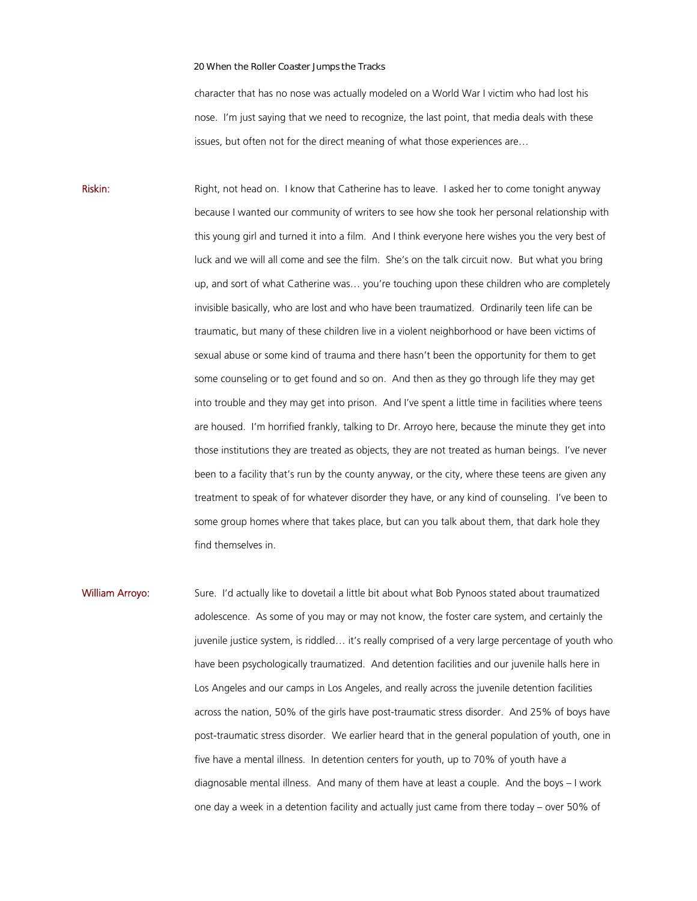character that has no nose was actually modeled on a World War I victim who had lost his nose. I'm just saying that we need to recognize, the last point, that media deals with these issues, but often not for the direct meaning of what those experiences are…

Riskin: Right, not head on. I know that Catherine has to leave. I asked her to come tonight anyway because I wanted our community of writers to see how she took her personal relationship with this young girl and turned it into a film. And I think everyone here wishes you the very best of luck and we will all come and see the film. She's on the talk circuit now. But what you bring up, and sort of what Catherine was… you're touching upon these children who are completely invisible basically, who are lost and who have been traumatized. Ordinarily teen life can be traumatic, but many of these children live in a violent neighborhood or have been victims of sexual abuse or some kind of trauma and there hasn't been the opportunity for them to get some counseling or to get found and so on. And then as they go through life they may get into trouble and they may get into prison. And I've spent a little time in facilities where teens are housed. I'm horrified frankly, talking to Dr. Arroyo here, because the minute they get into those institutions they are treated as objects, they are not treated as human beings. I've never been to a facility that's run by the county anyway, or the city, where these teens are given any treatment to speak of for whatever disorder they have, or any kind of counseling. I've been to some group homes where that takes place, but can you talk about them, that dark hole they find themselves in.

William Arroyo: Sure. I'd actually like to dovetail a little bit about what Bob Pynoos stated about traumatized adolescence. As some of you may or may not know, the foster care system, and certainly the juvenile justice system, is riddled… it's really comprised of a very large percentage of youth who have been psychologically traumatized. And detention facilities and our juvenile halls here in Los Angeles and our camps in Los Angeles, and really across the juvenile detention facilities across the nation, 50% of the girls have post-traumatic stress disorder. And 25% of boys have post-traumatic stress disorder. We earlier heard that in the general population of youth, one in five have a mental illness. In detention centers for youth, up to 70% of youth have a diagnosable mental illness. And many of them have at least a couple. And the boys – I work one day a week in a detention facility and actually just came from there today – over 50% of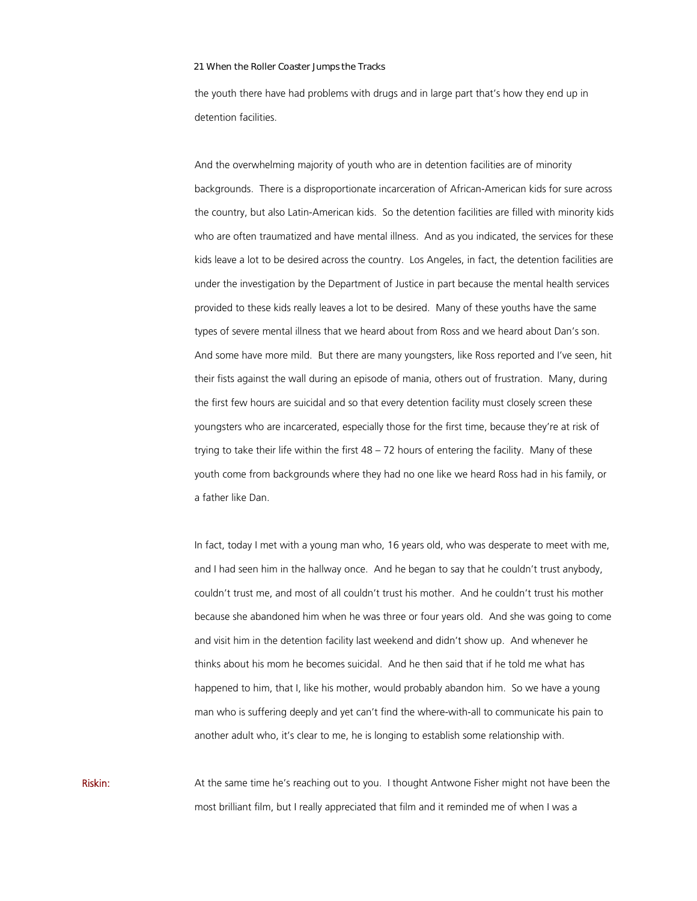the youth there have had problems with drugs and in large part that's how they end up in detention facilities.

And the overwhelming majority of youth who are in detention facilities are of minority backgrounds. There is a disproportionate incarceration of African-American kids for sure across the country, but also Latin-American kids. So the detention facilities are filled with minority kids who are often traumatized and have mental illness. And as you indicated, the services for these kids leave a lot to be desired across the country. Los Angeles, in fact, the detention facilities are under the investigation by the Department of Justice in part because the mental health services provided to these kids really leaves a lot to be desired. Many of these youths have the same types of severe mental illness that we heard about from Ross and we heard about Dan's son. And some have more mild. But there are many youngsters, like Ross reported and I've seen, hit their fists against the wall during an episode of mania, others out of frustration. Many, during the first few hours are suicidal and so that every detention facility must closely screen these youngsters who are incarcerated, especially those for the first time, because they're at risk of trying to take their life within the first 48 – 72 hours of entering the facility. Many of these youth come from backgrounds where they had no one like we heard Ross had in his family, or a father like Dan.

In fact, today I met with a young man who, 16 years old, who was desperate to meet with me, and I had seen him in the hallway once. And he began to say that he couldn't trust anybody, couldn't trust me, and most of all couldn't trust his mother. And he couldn't trust his mother because she abandoned him when he was three or four years old. And she was going to come and visit him in the detention facility last weekend and didn't show up. And whenever he thinks about his mom he becomes suicidal. And he then said that if he told me what has happened to him, that I, like his mother, would probably abandon him. So we have a young man who is suffering deeply and yet can't find the where-with-all to communicate his pain to another adult who, it's clear to me, he is longing to establish some relationship with.

Riskin: At the same time he's reaching out to you. I thought Antwone Fisher might not have been the most brilliant film, but I really appreciated that film and it reminded me of when I was a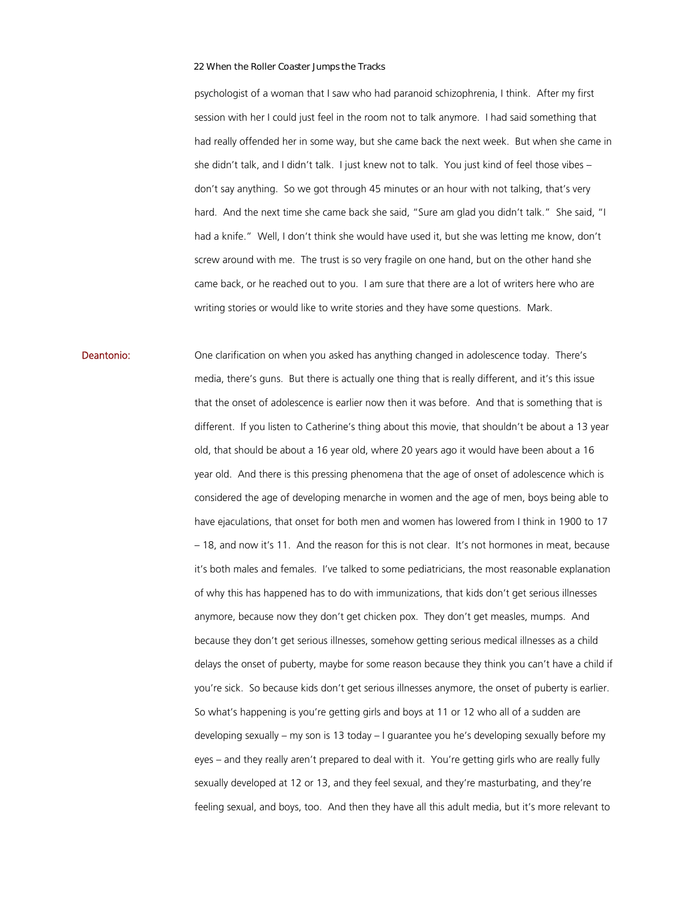psychologist of a woman that I saw who had paranoid schizophrenia, I think. After my first session with her I could just feel in the room not to talk anymore. I had said something that had really offended her in some way, but she came back the next week. But when she came in she didn't talk, and I didn't talk. I just knew not to talk. You just kind of feel those vibes – don't say anything. So we got through 45 minutes or an hour with not talking, that's very hard. And the next time she came back she said, "Sure am glad you didn't talk." She said, "I had a knife." Well, I don't think she would have used it, but she was letting me know, don't screw around with me. The trust is so very fragile on one hand, but on the other hand she came back, or he reached out to you. I am sure that there are a lot of writers here who are writing stories or would like to write stories and they have some questions. Mark.

Deantonio: One clarification on when you asked has anything changed in adolescence today. There's media, there's guns. But there is actually one thing that is really different, and it's this issue that the onset of adolescence is earlier now then it was before. And that is something that is different. If you listen to Catherine's thing about this movie, that shouldn't be about a 13 year old, that should be about a 16 year old, where 20 years ago it would have been about a 16 year old. And there is this pressing phenomena that the age of onset of adolescence which is considered the age of developing menarche in women and the age of men, boys being able to have ejaculations, that onset for both men and women has lowered from I think in 1900 to 17 – 18, and now it's 11. And the reason for this is not clear. It's not hormones in meat, because it's both males and females. I've talked to some pediatricians, the most reasonable explanation of why this has happened has to do with immunizations, that kids don't get serious illnesses anymore, because now they don't get chicken pox. They don't get measles, mumps. And because they don't get serious illnesses, somehow getting serious medical illnesses as a child delays the onset of puberty, maybe for some reason because they think you can't have a child if you're sick. So because kids don't get serious illnesses anymore, the onset of puberty is earlier. So what's happening is you're getting girls and boys at 11 or 12 who all of a sudden are developing sexually – my son is 13 today – I guarantee you he's developing sexually before my eyes – and they really aren't prepared to deal with it. You're getting girls who are really fully sexually developed at 12 or 13, and they feel sexual, and they're masturbating, and they're feeling sexual, and boys, too. And then they have all this adult media, but it's more relevant to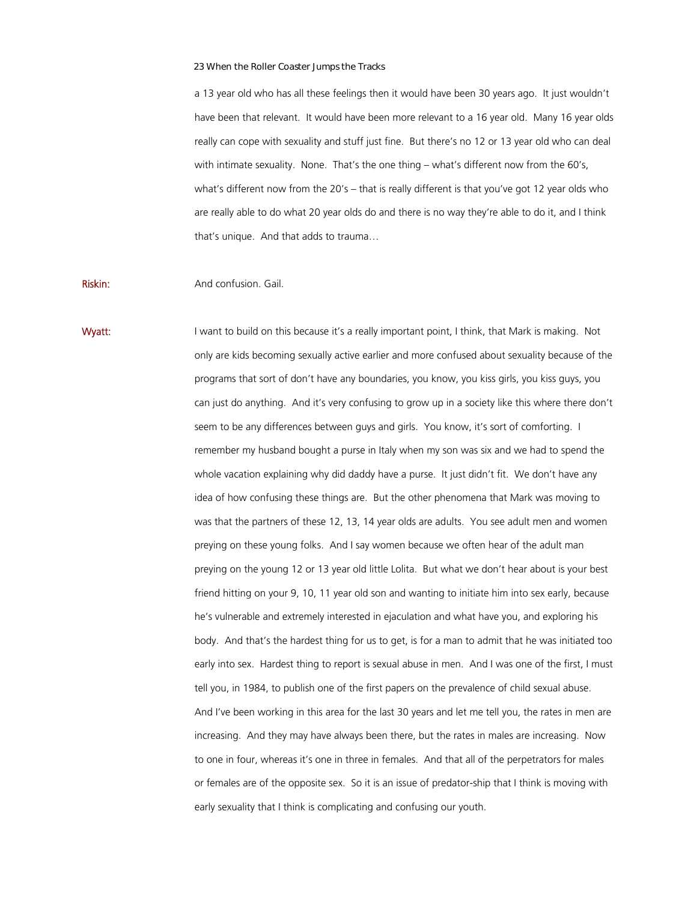a 13 year old who has all these feelings then it would have been 30 years ago. It just wouldn't have been that relevant. It would have been more relevant to a 16 year old. Many 16 year olds really can cope with sexuality and stuff just fine. But there's no 12 or 13 year old who can deal with intimate sexuality. None. That's the one thing – what's different now from the 60's, what's different now from the 20's – that is really different is that you've got 12 year olds who are really able to do what 20 year olds do and there is no way they're able to do it, and I think that's unique. And that adds to trauma…

## Riskin: And confusion. Gail.

Wyatt: I want to build on this because it's a really important point, I think, that Mark is making. Not only are kids becoming sexually active earlier and more confused about sexuality because of the programs that sort of don't have any boundaries, you know, you kiss girls, you kiss guys, you can just do anything. And it's very confusing to grow up in a society like this where there don't seem to be any differences between guys and girls. You know, it's sort of comforting. I remember my husband bought a purse in Italy when my son was six and we had to spend the whole vacation explaining why did daddy have a purse. It just didn't fit. We don't have any idea of how confusing these things are. But the other phenomena that Mark was moving to was that the partners of these 12, 13, 14 year olds are adults. You see adult men and women preying on these young folks. And I say women because we often hear of the adult man preying on the young 12 or 13 year old little Lolita. But what we don't hear about is your best friend hitting on your 9, 10, 11 year old son and wanting to initiate him into sex early, because he's vulnerable and extremely interested in ejaculation and what have you, and exploring his body. And that's the hardest thing for us to get, is for a man to admit that he was initiated too early into sex. Hardest thing to report is sexual abuse in men. And I was one of the first, I must tell you, in 1984, to publish one of the first papers on the prevalence of child sexual abuse. And I've been working in this area for the last 30 years and let me tell you, the rates in men are increasing. And they may have always been there, but the rates in males are increasing. Now to one in four, whereas it's one in three in females. And that all of the perpetrators for males or females are of the opposite sex. So it is an issue of predator-ship that I think is moving with early sexuality that I think is complicating and confusing our youth.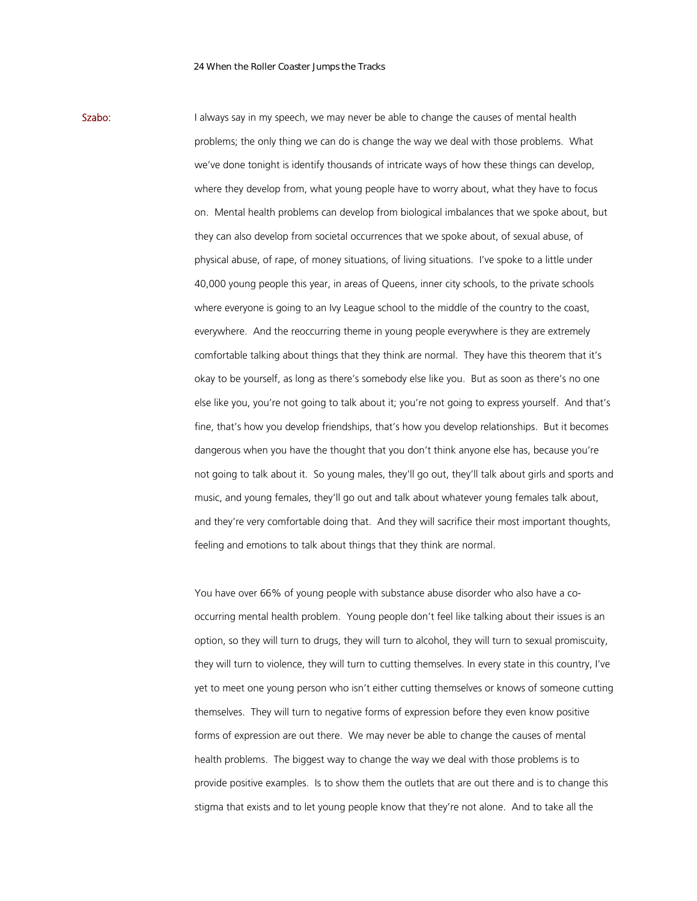Szabo: I always say in my speech, we may never be able to change the causes of mental health problems; the only thing we can do is change the way we deal with those problems. What we've done tonight is identify thousands of intricate ways of how these things can develop, where they develop from, what young people have to worry about, what they have to focus on. Mental health problems can develop from biological imbalances that we spoke about, but they can also develop from societal occurrences that we spoke about, of sexual abuse, of physical abuse, of rape, of money situations, of living situations. I've spoke to a little under 40,000 young people this year, in areas of Queens, inner city schools, to the private schools where everyone is going to an Ivy League school to the middle of the country to the coast, everywhere. And the reoccurring theme in young people everywhere is they are extremely comfortable talking about things that they think are normal. They have this theorem that it's okay to be yourself, as long as there's somebody else like you. But as soon as there's no one else like you, you're not going to talk about it; you're not going to express yourself. And that's fine, that's how you develop friendships, that's how you develop relationships. But it becomes dangerous when you have the thought that you don't think anyone else has, because you're not going to talk about it. So young males, they'll go out, they'll talk about girls and sports and music, and young females, they'll go out and talk about whatever young females talk about, and they're very comfortable doing that. And they will sacrifice their most important thoughts, feeling and emotions to talk about things that they think are normal.

> You have over 66% of young people with substance abuse disorder who also have a cooccurring mental health problem. Young people don't feel like talking about their issues is an option, so they will turn to drugs, they will turn to alcohol, they will turn to sexual promiscuity, they will turn to violence, they will turn to cutting themselves. In every state in this country, I've yet to meet one young person who isn't either cutting themselves or knows of someone cutting themselves. They will turn to negative forms of expression before they even know positive forms of expression are out there. We may never be able to change the causes of mental health problems. The biggest way to change the way we deal with those problems is to provide positive examples. Is to show them the outlets that are out there and is to change this stigma that exists and to let young people know that they're not alone. And to take all the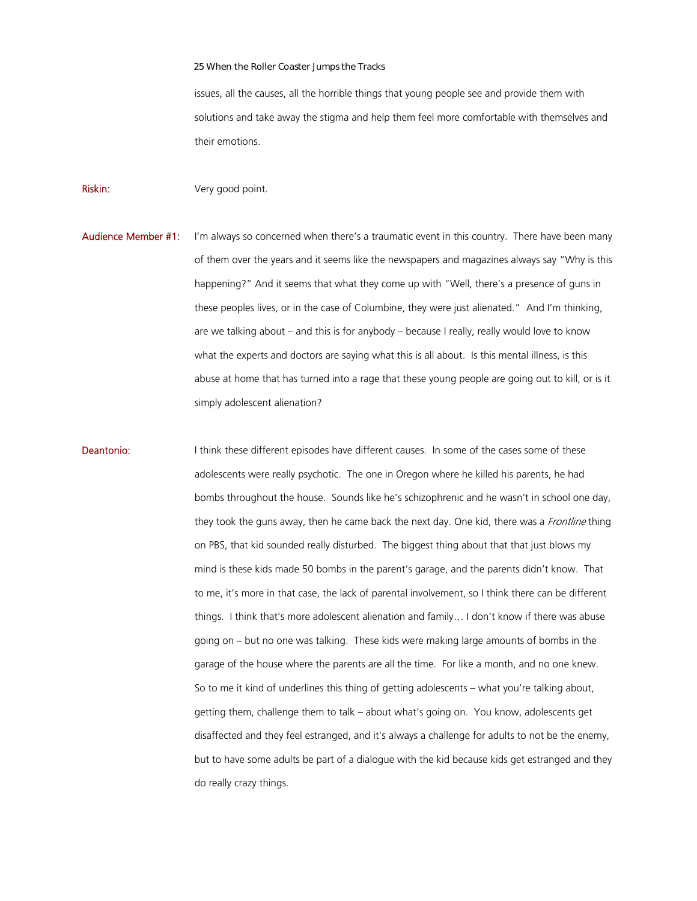issues, all the causes, all the horrible things that young people see and provide them with solutions and take away the stigma and help them feel more comfortable with themselves and their emotions.

Riskin: Very good point.

- Audience Member #1: I'm always so concerned when there's a traumatic event in this country. There have been many of them over the years and it seems like the newspapers and magazines always say "Why is this happening?" And it seems that what they come up with "Well, there's a presence of guns in these peoples lives, or in the case of Columbine, they were just alienated." And I'm thinking, are we talking about – and this is for anybody – because I really, really would love to know what the experts and doctors are saying what this is all about. Is this mental illness, is this abuse at home that has turned into a rage that these young people are going out to kill, or is it simply adolescent alienation?
- Deantonio: I think these different episodes have different causes. In some of the cases some of these adolescents were really psychotic. The one in Oregon where he killed his parents, he had bombs throughout the house. Sounds like he's schizophrenic and he wasn't in school one day, they took the guns away, then he came back the next day. One kid, there was a *Frontline* thing on PBS, that kid sounded really disturbed. The biggest thing about that that just blows my mind is these kids made 50 bombs in the parent's garage, and the parents didn't know. That to me, it's more in that case, the lack of parental involvement, so I think there can be different things. I think that's more adolescent alienation and family… I don't know if there was abuse going on – but no one was talking. These kids were making large amounts of bombs in the garage of the house where the parents are all the time. For like a month, and no one knew. So to me it kind of underlines this thing of getting adolescents – what you're talking about, getting them, challenge them to talk – about what's going on. You know, adolescents get disaffected and they feel estranged, and it's always a challenge for adults to not be the enemy, but to have some adults be part of a dialogue with the kid because kids get estranged and they do really crazy things.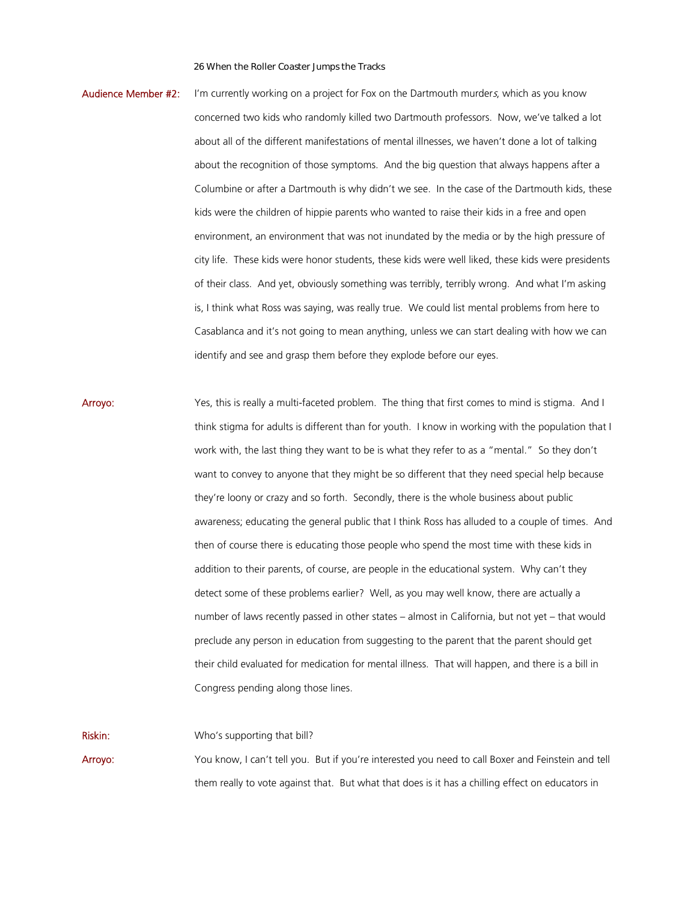- Audience Member #2: I'm currently working on a project for Fox on the Dartmouth murders, which as you know concerned two kids who randomly killed two Dartmouth professors. Now, we've talked a lot about all of the different manifestations of mental illnesses, we haven't done a lot of talking about the recognition of those symptoms. And the big question that always happens after a Columbine or after a Dartmouth is why didn't we see. In the case of the Dartmouth kids, these kids were the children of hippie parents who wanted to raise their kids in a free and open environment, an environment that was not inundated by the media or by the high pressure of city life. These kids were honor students, these kids were well liked, these kids were presidents of their class. And yet, obviously something was terribly, terribly wrong. And what I'm asking is, I think what Ross was saying, was really true. We could list mental problems from here to Casablanca and it's not going to mean anything, unless we can start dealing with how we can identify and see and grasp them before they explode before our eyes.
- Arroyo: Yes, this is really a multi-faceted problem. The thing that first comes to mind is stigma. And I think stigma for adults is different than for youth. I know in working with the population that I work with, the last thing they want to be is what they refer to as a "mental." So they don't want to convey to anyone that they might be so different that they need special help because they're loony or crazy and so forth. Secondly, there is the whole business about public awareness; educating the general public that I think Ross has alluded to a couple of times. And then of course there is educating those people who spend the most time with these kids in addition to their parents, of course, are people in the educational system. Why can't they detect some of these problems earlier? Well, as you may well know, there are actually a number of laws recently passed in other states – almost in California, but not yet – that would preclude any person in education from suggesting to the parent that the parent should get their child evaluated for medication for mental illness. That will happen, and there is a bill in Congress pending along those lines.

**Riskin:** Who's supporting that bill? Arroyo: You know, I can't tell you. But if you're interested you need to call Boxer and Feinstein and tell them really to vote against that. But what that does is it has a chilling effect on educators in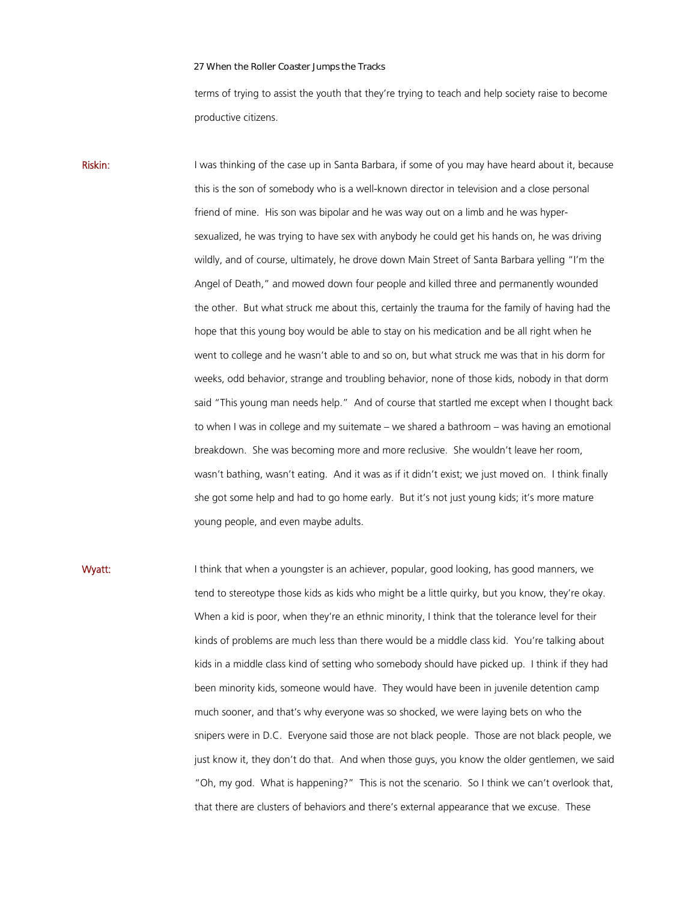terms of trying to assist the youth that they're trying to teach and help society raise to become productive citizens.

Riskin: I was thinking of the case up in Santa Barbara, if some of you may have heard about it, because this is the son of somebody who is a well-known director in television and a close personal friend of mine. His son was bipolar and he was way out on a limb and he was hypersexualized, he was trying to have sex with anybody he could get his hands on, he was driving wildly, and of course, ultimately, he drove down Main Street of Santa Barbara yelling "I'm the Angel of Death," and mowed down four people and killed three and permanently wounded the other. But what struck me about this, certainly the trauma for the family of having had the hope that this young boy would be able to stay on his medication and be all right when he went to college and he wasn't able to and so on, but what struck me was that in his dorm for weeks, odd behavior, strange and troubling behavior, none of those kids, nobody in that dorm said "This young man needs help." And of course that startled me except when I thought back to when I was in college and my suitemate – we shared a bathroom – was having an emotional breakdown. She was becoming more and more reclusive. She wouldn't leave her room, wasn't bathing, wasn't eating. And it was as if it didn't exist; we just moved on. I think finally she got some help and had to go home early. But it's not just young kids; it's more mature young people, and even maybe adults.

Wyatt: I think that when a youngster is an achiever, popular, good looking, has good manners, we tend to stereotype those kids as kids who might be a little quirky, but you know, they're okay. When a kid is poor, when they're an ethnic minority, I think that the tolerance level for their kinds of problems are much less than there would be a middle class kid. You're talking about kids in a middle class kind of setting who somebody should have picked up. I think if they had been minority kids, someone would have. They would have been in juvenile detention camp much sooner, and that's why everyone was so shocked, we were laying bets on who the snipers were in D.C. Everyone said those are not black people. Those are not black people, we just know it, they don't do that. And when those guys, you know the older gentlemen, we said "Oh, my god. What is happening?" This is not the scenario. So I think we can't overlook that, that there are clusters of behaviors and there's external appearance that we excuse. These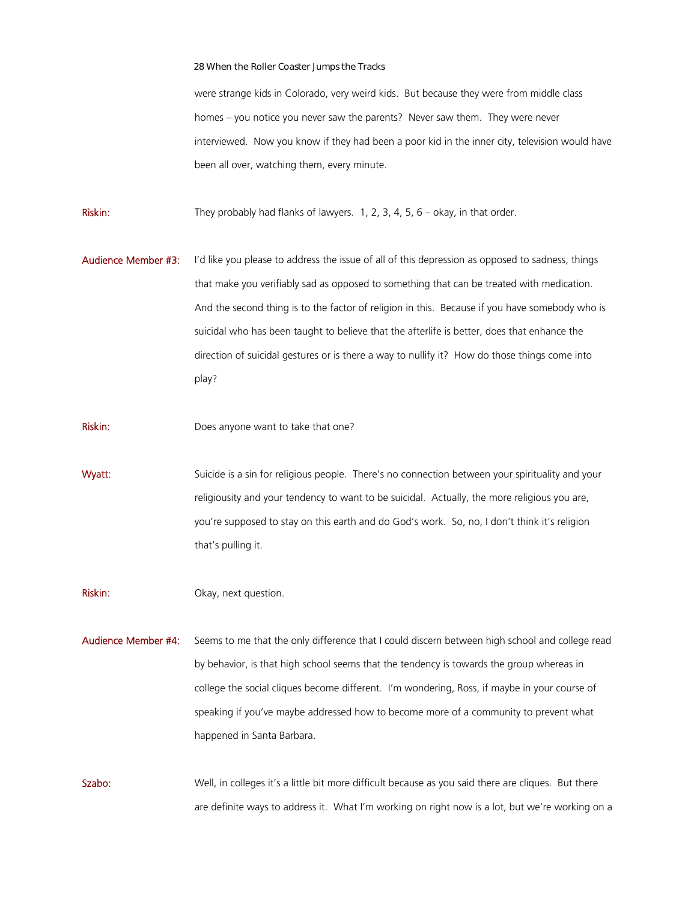were strange kids in Colorado, very weird kids. But because they were from middle class homes – you notice you never saw the parents? Never saw them. They were never interviewed. Now you know if they had been a poor kid in the inner city, television would have been all over, watching them, every minute.

Riskin: They probably had flanks of lawyers. 1, 2, 3, 4, 5, 6 – okay, in that order.

Audience Member #3: I'd like you please to address the issue of all of this depression as opposed to sadness, things that make you verifiably sad as opposed to something that can be treated with medication. And the second thing is to the factor of religion in this. Because if you have somebody who is suicidal who has been taught to believe that the afterlife is better, does that enhance the direction of suicidal gestures or is there a way to nullify it? How do those things come into play?

Riskin: Does anyone want to take that one?

Wyatt: Suicide is a sin for religious people. There's no connection between your spirituality and your religiousity and your tendency to want to be suicidal. Actually, the more religious you are, you're supposed to stay on this earth and do God's work. So, no, I don't think it's religion that's pulling it.

Riskin: Okay, next question.

Audience Member #4: Seems to me that the only difference that I could discern between high school and college read by behavior, is that high school seems that the tendency is towards the group whereas in college the social cliques become different. I'm wondering, Ross, if maybe in your course of speaking if you've maybe addressed how to become more of a community to prevent what happened in Santa Barbara.

Szabo: Well, in colleges it's a little bit more difficult because as you said there are cliques. But there are definite ways to address it. What I'm working on right now is a lot, but we're working on a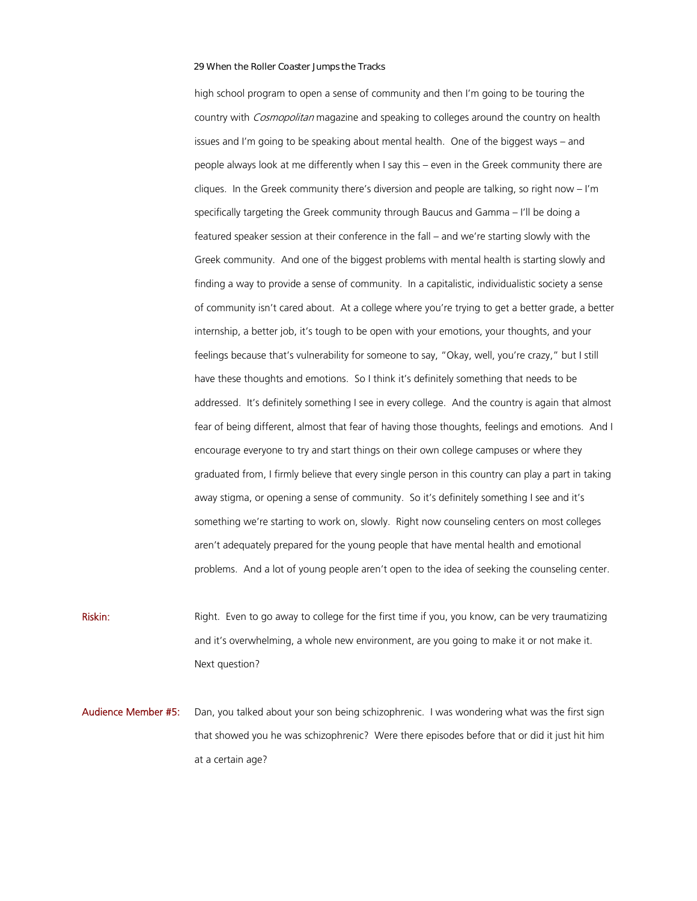high school program to open a sense of community and then I'm going to be touring the country with *Cosmopolitan* magazine and speaking to colleges around the country on health issues and I'm going to be speaking about mental health. One of the biggest ways – and people always look at me differently when I say this – even in the Greek community there are cliques. In the Greek community there's diversion and people are talking, so right now – I'm specifically targeting the Greek community through Baucus and Gamma – I'll be doing a featured speaker session at their conference in the fall – and we're starting slowly with the Greek community. And one of the biggest problems with mental health is starting slowly and finding a way to provide a sense of community. In a capitalistic, individualistic society a sense of community isn't cared about. At a college where you're trying to get a better grade, a better internship, a better job, it's tough to be open with your emotions, your thoughts, and your feelings because that's vulnerability for someone to say, "Okay, well, you're crazy," but I still have these thoughts and emotions. So I think it's definitely something that needs to be addressed. It's definitely something I see in every college. And the country is again that almost fear of being different, almost that fear of having those thoughts, feelings and emotions. And I encourage everyone to try and start things on their own college campuses or where they graduated from, I firmly believe that every single person in this country can play a part in taking away stigma, or opening a sense of community. So it's definitely something I see and it's something we're starting to work on, slowly. Right now counseling centers on most colleges aren't adequately prepared for the young people that have mental health and emotional problems. And a lot of young people aren't open to the idea of seeking the counseling center.

Right. Even to go away to college for the first time if you, you know, can be very traumatizing and it's overwhelming, a whole new environment, are you going to make it or not make it. Next question?

Audience Member #5: Dan, you talked about your son being schizophrenic. I was wondering what was the first sign that showed you he was schizophrenic? Were there episodes before that or did it just hit him at a certain age?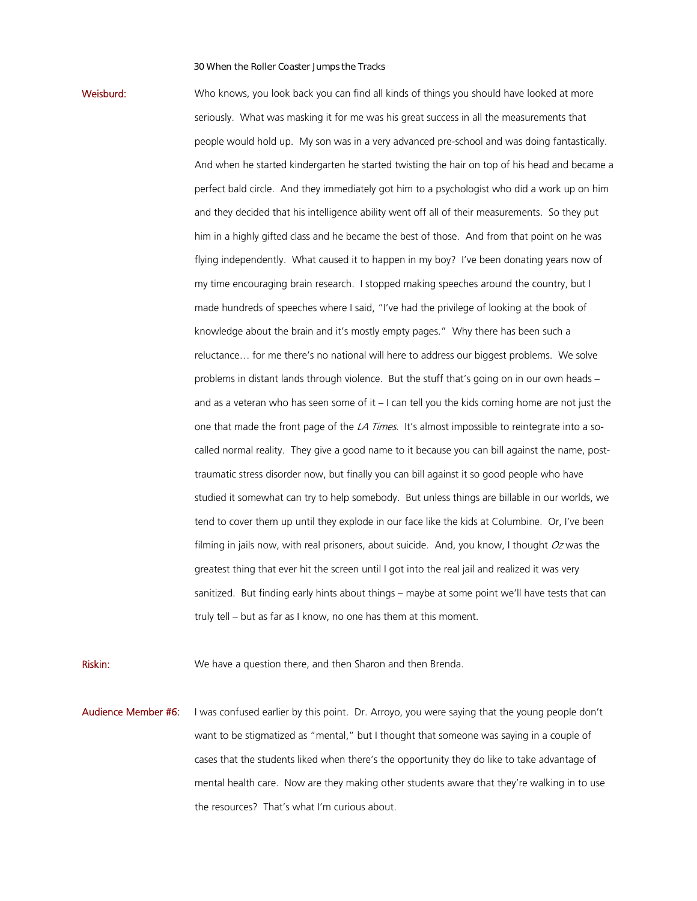Weisburd: Who knows, you look back you can find all kinds of things you should have looked at more seriously. What was masking it for me was his great success in all the measurements that people would hold up. My son was in a very advanced pre-school and was doing fantastically. And when he started kindergarten he started twisting the hair on top of his head and became a perfect bald circle. And they immediately got him to a psychologist who did a work up on him and they decided that his intelligence ability went off all of their measurements. So they put him in a highly gifted class and he became the best of those. And from that point on he was flying independently. What caused it to happen in my boy? I've been donating years now of my time encouraging brain research. I stopped making speeches around the country, but I made hundreds of speeches where I said, "I've had the privilege of looking at the book of knowledge about the brain and it's mostly empty pages." Why there has been such a reluctance… for me there's no national will here to address our biggest problems. We solve problems in distant lands through violence. But the stuff that's going on in our own heads – and as a veteran who has seen some of it  $-1$  can tell you the kids coming home are not just the one that made the front page of the  $\angle A$  Times. It's almost impossible to reintegrate into a socalled normal reality. They give a good name to it because you can bill against the name, posttraumatic stress disorder now, but finally you can bill against it so good people who have studied it somewhat can try to help somebody. But unless things are billable in our worlds, we tend to cover them up until they explode in our face like the kids at Columbine. Or, I've been filming in jails now, with real prisoners, about suicide. And, you know, I thought  $Oz$  was the greatest thing that ever hit the screen until I got into the real jail and realized it was very sanitized. But finding early hints about things – maybe at some point we'll have tests that can truly tell – but as far as I know, no one has them at this moment.

Riskin: We have a question there, and then Sharon and then Brenda.

Audience Member #6: I was confused earlier by this point. Dr. Arroyo, you were saying that the young people don't want to be stigmatized as "mental," but I thought that someone was saying in a couple of cases that the students liked when there's the opportunity they do like to take advantage of mental health care. Now are they making other students aware that they're walking in to use the resources? That's what I'm curious about.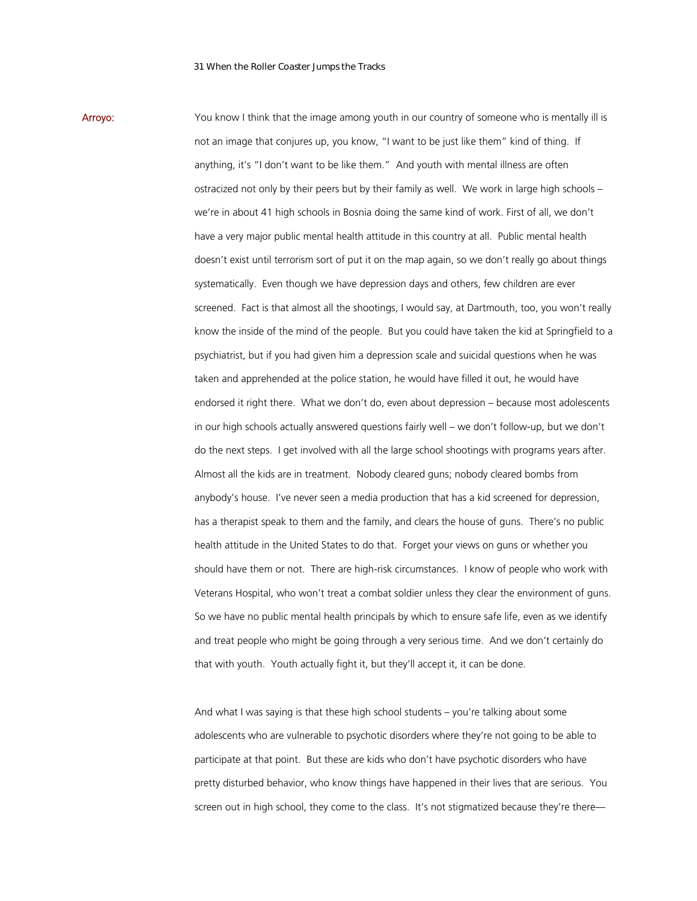Arroyo: You know I think that the image among youth in our country of someone who is mentally ill is not an image that conjures up, you know, "I want to be just like them" kind of thing. If anything, it's "I don't want to be like them." And youth with mental illness are often ostracized not only by their peers but by their family as well. We work in large high schools – we're in about 41 high schools in Bosnia doing the same kind of work. First of all, we don't have a very major public mental health attitude in this country at all. Public mental health doesn't exist until terrorism sort of put it on the map again, so we don't really go about things systematically. Even though we have depression days and others, few children are ever screened. Fact is that almost all the shootings, I would say, at Dartmouth, too, you won't really know the inside of the mind of the people. But you could have taken the kid at Springfield to a psychiatrist, but if you had given him a depression scale and suicidal questions when he was taken and apprehended at the police station, he would have filled it out, he would have endorsed it right there. What we don't do, even about depression – because most adolescents in our high schools actually answered questions fairly well – we don't follow-up, but we don't do the next steps. I get involved with all the large school shootings with programs years after. Almost all the kids are in treatment. Nobody cleared guns; nobody cleared bombs from anybody's house. I've never seen a media production that has a kid screened for depression, has a therapist speak to them and the family, and clears the house of guns. There's no public health attitude in the United States to do that. Forget your views on guns or whether you should have them or not. There are high-risk circumstances. I know of people who work with Veterans Hospital, who won't treat a combat soldier unless they clear the environment of guns. So we have no public mental health principals by which to ensure safe life, even as we identify and treat people who might be going through a very serious time. And we don't certainly do that with youth. Youth actually fight it, but they'll accept it, it can be done.

> And what I was saying is that these high school students – you're talking about some adolescents who are vulnerable to psychotic disorders where they're not going to be able to participate at that point. But these are kids who don't have psychotic disorders who have pretty disturbed behavior, who know things have happened in their lives that are serious. You screen out in high school, they come to the class. It's not stigmatized because they're there—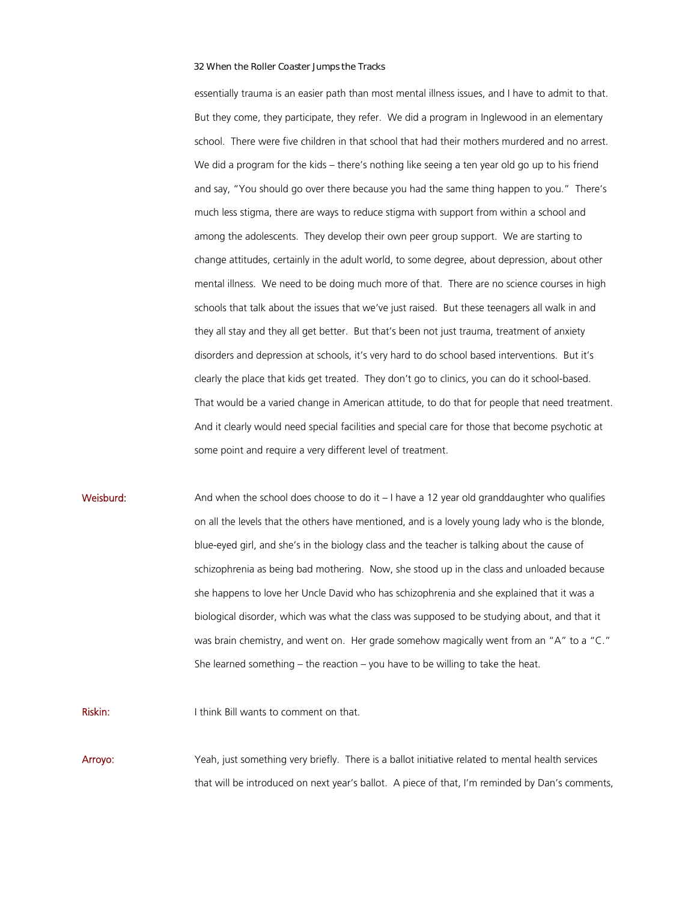essentially trauma is an easier path than most mental illness issues, and I have to admit to that. But they come, they participate, they refer. We did a program in Inglewood in an elementary school. There were five children in that school that had their mothers murdered and no arrest. We did a program for the kids – there's nothing like seeing a ten year old go up to his friend and say, "You should go over there because you had the same thing happen to you." There's much less stigma, there are ways to reduce stigma with support from within a school and among the adolescents. They develop their own peer group support. We are starting to change attitudes, certainly in the adult world, to some degree, about depression, about other mental illness. We need to be doing much more of that. There are no science courses in high schools that talk about the issues that we've just raised. But these teenagers all walk in and they all stay and they all get better. But that's been not just trauma, treatment of anxiety disorders and depression at schools, it's very hard to do school based interventions. But it's clearly the place that kids get treated. They don't go to clinics, you can do it school-based. That would be a varied change in American attitude, to do that for people that need treatment. And it clearly would need special facilities and special care for those that become psychotic at some point and require a very different level of treatment.

**Weisburd:** And when the school does choose to do it  $-1$  have a 12 year old granddaughter who qualifies on all the levels that the others have mentioned, and is a lovely young lady who is the blonde, blue-eyed girl, and she's in the biology class and the teacher is talking about the cause of schizophrenia as being bad mothering. Now, she stood up in the class and unloaded because she happens to love her Uncle David who has schizophrenia and she explained that it was a biological disorder, which was what the class was supposed to be studying about, and that it was brain chemistry, and went on. Her grade somehow magically went from an "A" to a "C." She learned something – the reaction – you have to be willing to take the heat.

Riskin: I think Bill wants to comment on that.

Arroyo: Yeah, just something very briefly. There is a ballot initiative related to mental health services that will be introduced on next year's ballot. A piece of that, I'm reminded by Dan's comments,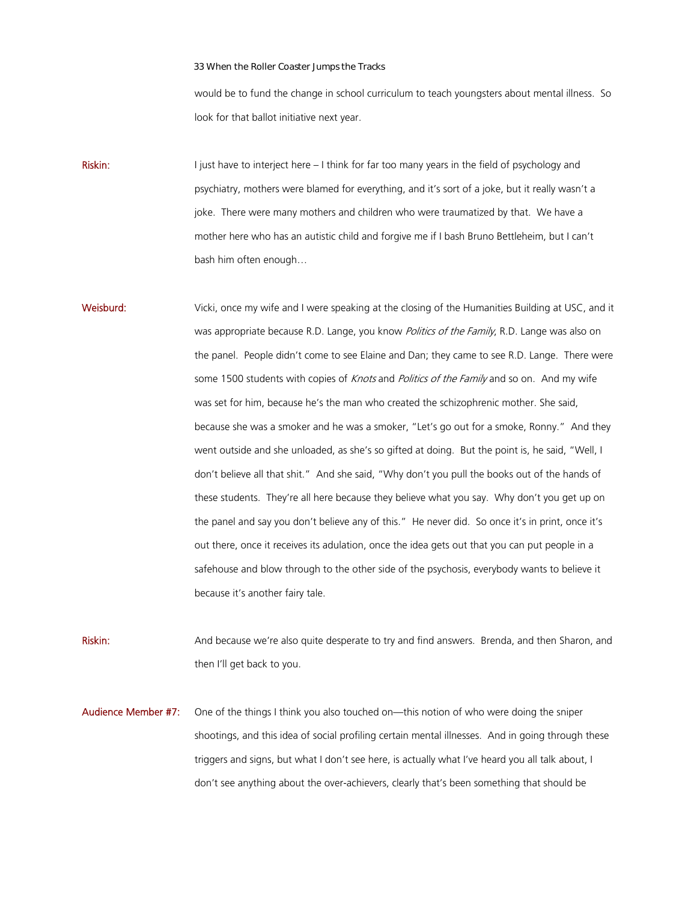would be to fund the change in school curriculum to teach youngsters about mental illness. So look for that ballot initiative next year.

Riskin: I just have to interject here – I think for far too many years in the field of psychology and psychiatry, mothers were blamed for everything, and it's sort of a joke, but it really wasn't a joke. There were many mothers and children who were traumatized by that. We have a mother here who has an autistic child and forgive me if I bash Bruno Bettleheim, but I can't bash him often enough…

Weisburd: Vicki, once my wife and I were speaking at the closing of the Humanities Building at USC, and it was appropriate because R.D. Lange, you know *Politics of the Family*, R.D. Lange was also on the panel. People didn't come to see Elaine and Dan; they came to see R.D. Lange. There were some 1500 students with copies of *Knots* and *Politics of the Family* and so on. And my wife was set for him, because he's the man who created the schizophrenic mother. She said, because she was a smoker and he was a smoker, "Let's go out for a smoke, Ronny." And they went outside and she unloaded, as she's so gifted at doing. But the point is, he said, "Well, I don't believe all that shit." And she said, "Why don't you pull the books out of the hands of these students. They're all here because they believe what you say. Why don't you get up on the panel and say you don't believe any of this." He never did. So once it's in print, once it's out there, once it receives its adulation, once the idea gets out that you can put people in a safehouse and blow through to the other side of the psychosis, everybody wants to believe it because it's another fairy tale.

Riskin: And because we're also quite desperate to try and find answers. Brenda, and then Sharon, and then I'll get back to you.

Audience Member #7: One of the things I think you also touched on—this notion of who were doing the sniper shootings, and this idea of social profiling certain mental illnesses. And in going through these triggers and signs, but what I don't see here, is actually what I've heard you all talk about, I don't see anything about the over-achievers, clearly that's been something that should be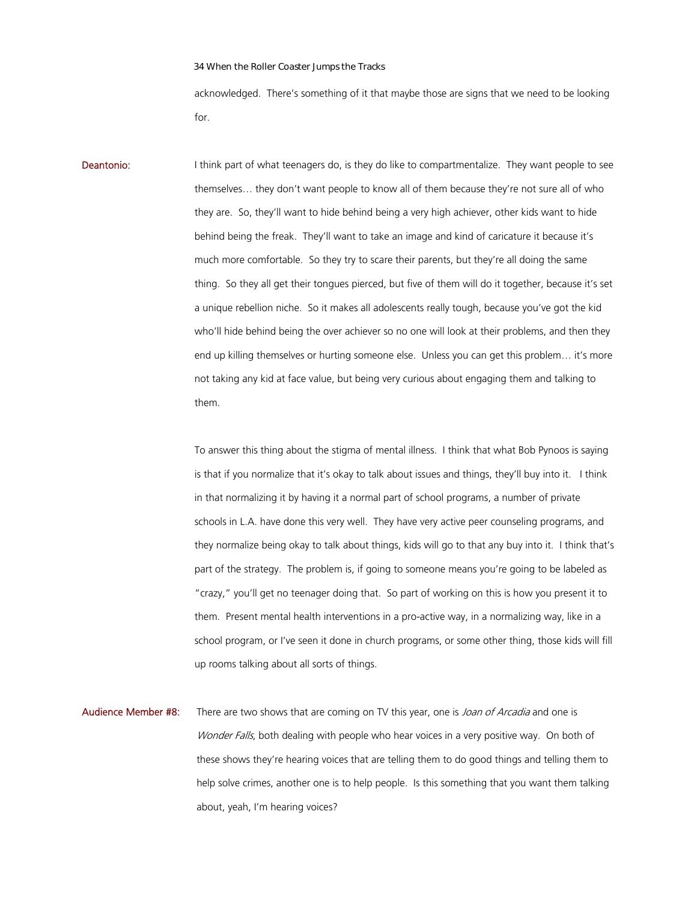acknowledged. There's something of it that maybe those are signs that we need to be looking for.

**Deantonio:** I think part of what teenagers do, is they do like to compartmentalize. They want people to see themselves… they don't want people to know all of them because they're not sure all of who they are. So, they'll want to hide behind being a very high achiever, other kids want to hide behind being the freak. They'll want to take an image and kind of caricature it because it's much more comfortable. So they try to scare their parents, but they're all doing the same thing. So they all get their tongues pierced, but five of them will do it together, because it's set a unique rebellion niche. So it makes all adolescents really tough, because you've got the kid who'll hide behind being the over achiever so no one will look at their problems, and then they end up killing themselves or hurting someone else. Unless you can get this problem… it's more not taking any kid at face value, but being very curious about engaging them and talking to them.

> To answer this thing about the stigma of mental illness. I think that what Bob Pynoos is saying is that if you normalize that it's okay to talk about issues and things, they'll buy into it. I think in that normalizing it by having it a normal part of school programs, a number of private schools in L.A. have done this very well. They have very active peer counseling programs, and they normalize being okay to talk about things, kids will go to that any buy into it. I think that's part of the strategy. The problem is, if going to someone means you're going to be labeled as "crazy," you'll get no teenager doing that. So part of working on this is how you present it to them. Present mental health interventions in a pro-active way, in a normalizing way, like in a school program, or I've seen it done in church programs, or some other thing, those kids will fill up rooms talking about all sorts of things.

Audience Member #8: There are two shows that are coming on TV this year, one is *Joan of Arcadia* and one is Wonder Falls, both dealing with people who hear voices in a very positive way. On both of these shows they're hearing voices that are telling them to do good things and telling them to help solve crimes, another one is to help people. Is this something that you want them talking about, yeah, I'm hearing voices?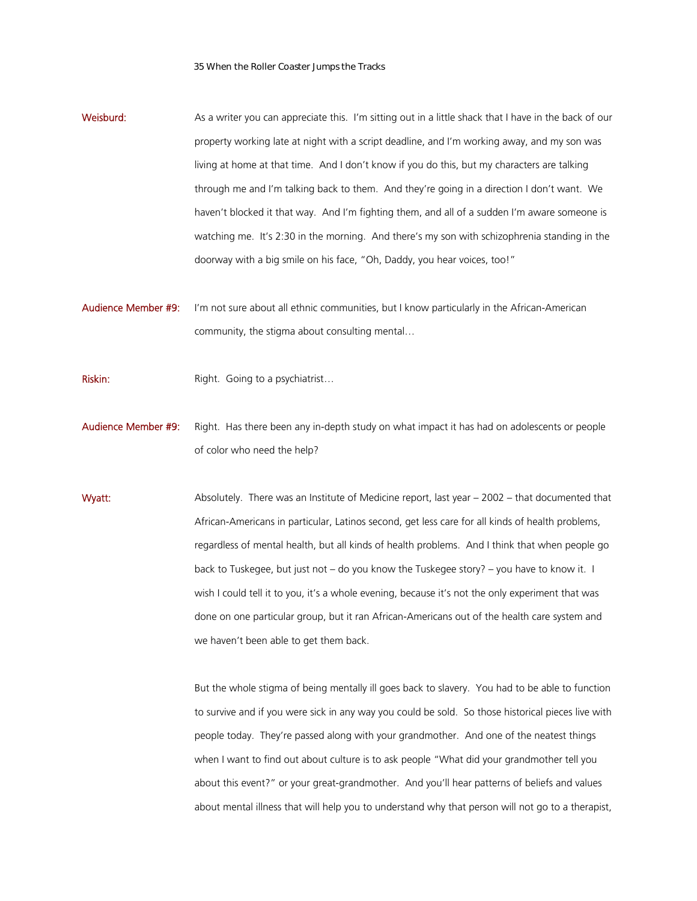Weisburd: As a writer you can appreciate this. I'm sitting out in a little shack that I have in the back of our property working late at night with a script deadline, and I'm working away, and my son was living at home at that time. And I don't know if you do this, but my characters are talking through me and I'm talking back to them. And they're going in a direction I don't want. We haven't blocked it that way. And I'm fighting them, and all of a sudden I'm aware someone is watching me. It's 2:30 in the morning. And there's my son with schizophrenia standing in the doorway with a big smile on his face, "Oh, Daddy, you hear voices, too!"

Audience Member #9: I'm not sure about all ethnic communities, but I know particularly in the African-American community, the stigma about consulting mental…

Riskin: Right. Going to a psychiatrist...

Audience Member #9: Right. Has there been any in-depth study on what impact it has had on adolescents or people of color who need the help?

Wyatt: Absolutely. There was an Institute of Medicine report, last year – 2002 – that documented that African-Americans in particular, Latinos second, get less care for all kinds of health problems, regardless of mental health, but all kinds of health problems. And I think that when people go back to Tuskegee, but just not – do you know the Tuskegee story? – you have to know it. I wish I could tell it to you, it's a whole evening, because it's not the only experiment that was done on one particular group, but it ran African-Americans out of the health care system and we haven't been able to get them back.

> But the whole stigma of being mentally ill goes back to slavery. You had to be able to function to survive and if you were sick in any way you could be sold. So those historical pieces live with people today. They're passed along with your grandmother. And one of the neatest things when I want to find out about culture is to ask people "What did your grandmother tell you about this event?" or your great-grandmother. And you'll hear patterns of beliefs and values about mental illness that will help you to understand why that person will not go to a therapist,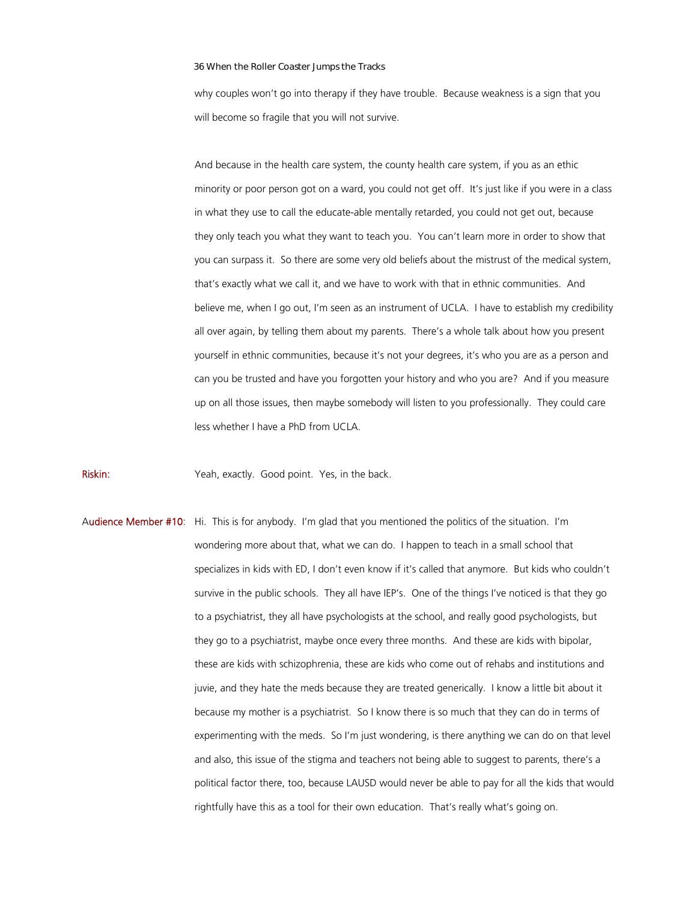why couples won't go into therapy if they have trouble. Because weakness is a sign that you will become so fragile that you will not survive.

And because in the health care system, the county health care system, if you as an ethic minority or poor person got on a ward, you could not get off. It's just like if you were in a class in what they use to call the educate-able mentally retarded, you could not get out, because they only teach you what they want to teach you. You can't learn more in order to show that you can surpass it. So there are some very old beliefs about the mistrust of the medical system, that's exactly what we call it, and we have to work with that in ethnic communities. And believe me, when I go out, I'm seen as an instrument of UCLA. I have to establish my credibility all over again, by telling them about my parents. There's a whole talk about how you present yourself in ethnic communities, because it's not your degrees, it's who you are as a person and can you be trusted and have you forgotten your history and who you are? And if you measure up on all those issues, then maybe somebody will listen to you professionally. They could care less whether I have a PhD from UCLA.

Riskin: Yeah, exactly. Good point. Yes, in the back.

Audience Member #10: Hi. This is for anybody. I'm glad that you mentioned the politics of the situation. I'm wondering more about that, what we can do. I happen to teach in a small school that specializes in kids with ED, I don't even know if it's called that anymore. But kids who couldn't survive in the public schools. They all have IEP's. One of the things I've noticed is that they go to a psychiatrist, they all have psychologists at the school, and really good psychologists, but they go to a psychiatrist, maybe once every three months. And these are kids with bipolar, these are kids with schizophrenia, these are kids who come out of rehabs and institutions and juvie, and they hate the meds because they are treated generically. I know a little bit about it because my mother is a psychiatrist. So I know there is so much that they can do in terms of experimenting with the meds. So I'm just wondering, is there anything we can do on that level and also, this issue of the stigma and teachers not being able to suggest to parents, there's a political factor there, too, because LAUSD would never be able to pay for all the kids that would rightfully have this as a tool for their own education. That's really what's going on.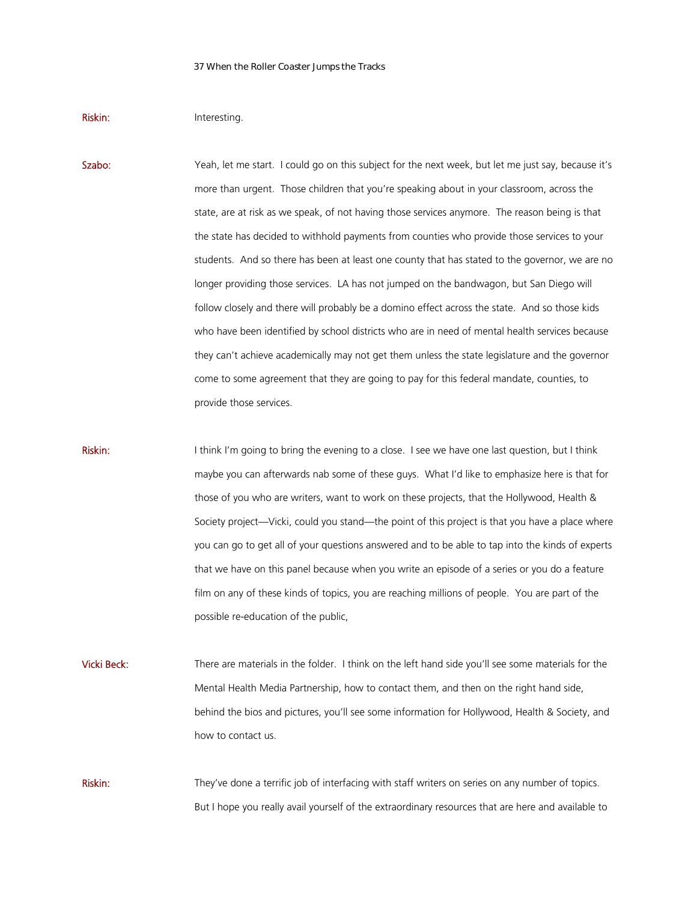## Riskin: Interesting.

Szabo: Yeah, let me start. I could go on this subject for the next week, but let me just say, because it's more than urgent. Those children that you're speaking about in your classroom, across the state, are at risk as we speak, of not having those services anymore. The reason being is that the state has decided to withhold payments from counties who provide those services to your students. And so there has been at least one county that has stated to the governor, we are no longer providing those services. LA has not jumped on the bandwagon, but San Diego will follow closely and there will probably be a domino effect across the state. And so those kids who have been identified by school districts who are in need of mental health services because they can't achieve academically may not get them unless the state legislature and the governor come to some agreement that they are going to pay for this federal mandate, counties, to provide those services.

Riskin: I think I'm going to bring the evening to a close. I see we have one last question, but I think maybe you can afterwards nab some of these guys. What I'd like to emphasize here is that for those of you who are writers, want to work on these projects, that the Hollywood, Health & Society project—Vicki, could you stand—the point of this project is that you have a place where you can go to get all of your questions answered and to be able to tap into the kinds of experts that we have on this panel because when you write an episode of a series or you do a feature film on any of these kinds of topics, you are reaching millions of people. You are part of the possible re-education of the public,

Vicki Beck: There are materials in the folder. I think on the left hand side you'll see some materials for the Mental Health Media Partnership, how to contact them, and then on the right hand side, behind the bios and pictures, you'll see some information for Hollywood, Health & Society, and how to contact us.

Riskin: They've done a terrific job of interfacing with staff writers on series on any number of topics. But I hope you really avail yourself of the extraordinary resources that are here and available to